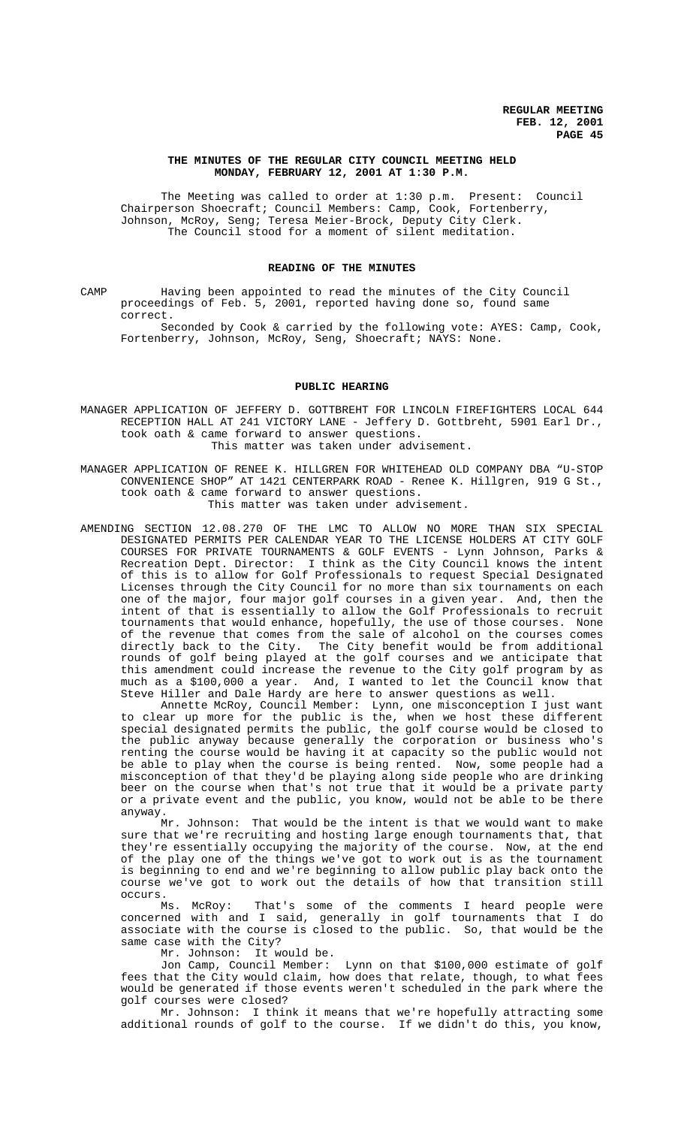## **THE MINUTES OF THE REGULAR CITY COUNCIL MEETING HELD MONDAY, FEBRUARY 12, 2001 AT 1:30 P.M.**

The Meeting was called to order at 1:30 p.m. Present: Council Chairperson Shoecraft; Council Members: Camp, Cook, Fortenberry, Johnson, McRoy, Seng; Teresa Meier-Brock, Deputy City Clerk. The Council stood for a moment of silent meditation.

# **READING OF THE MINUTES**

CAMP Having been appointed to read the minutes of the City Council proceedings of Feb. 5, 2001, reported having done so, found same correct.

Seconded by Cook & carried by the following vote: AYES: Camp, Cook, Fortenberry, Johnson, McRoy, Seng, Shoecraft; NAYS: None.

# **PUBLIC HEARING**

MANAGER APPLICATION OF JEFFERY D. GOTTBREHT FOR LINCOLN FIREFIGHTERS LOCAL 644 RECEPTION HALL AT 241 VICTORY LANE - Jeffery D. Gottbreht, 5901 Earl Dr., took oath & came forward to answer questions. This matter was taken under advisement.

MANAGER APPLICATION OF RENEE K. HILLGREN FOR WHITEHEAD OLD COMPANY DBA "U-STOP CONVENIENCE SHOP" AT 1421 CENTERPARK ROAD - Renee K. Hillgren, 919 G St., took oath & came forward to answer questions.

This matter was taken under advisement.

AMENDING SECTION 12.08.270 OF THE LMC TO ALLOW NO MORE THAN SIX SPECIAL DESIGNATED PERMITS PER CALENDAR YEAR TO THE LICENSE HOLDERS AT CITY GOLF COURSES FOR PRIVATE TOURNAMENTS & GOLF EVENTS - Lynn Johnson, Parks & Recreation Dept. Director: I think as the City Council knows the intent of this is to allow for Golf Professionals to request Special Designated Licenses through the City Council for no more than six tournaments on each one of the major, four major golf courses in a given year. And, then the intent of that is essentially to allow the Golf Professionals to recruit tournaments that would enhance, hopefully, the use of those courses. None of the revenue that comes from the sale of alcohol on the courses comes directly back to the City. The City benefit would be from additional rounds of golf being played at the golf courses and we anticipate that this amendment could increase the revenue to the City golf program by as much as a \$100,000 a year. And, I wanted to let the Council know that Steve Hiller and Dale Hardy are here to answer questions as well.

Annette McRoy, Council Member: Lynn, one misconception I just want to clear up more for the public is the, when we host these different special designated permits the public, the golf course would be closed to the public anyway because generally the corporation or business who's renting the course would be having it at capacity so the public would not be able to play when the course is being rented. Now, some people had a misconception of that they'd be playing along side people who are drinking beer on the course when that's not true that it would be a private party or a private event and the public, you know, would not be able to be there anyway.

Mr. Johnson: That would be the intent is that we would want to make sure that we're recruiting and hosting large enough tournaments that, that they're essentially occupying the majority of the course. Now, at the end of the play one of the things we've got to work out is as the tournament is beginning to end and we're beginning to allow public play back onto the course we've got to work out the details of how that transition still occurs.

Ms. McRoy: That's some of the comments I heard people were concerned with and I said, generally in golf tournaments that I do associate with the course is closed to the public. So, that would be the same case with the City?

Mr. Johnson: It would be.

Jon Camp, Council Member: Lynn on that \$100,000 estimate of golf fees that the City would claim, how does that relate, though, to what fees would be generated if those events weren't scheduled in the park where the golf courses were closed?

Mr. Johnson: I think it means that we're hopefully attracting some additional rounds of golf to the course. If we didn't do this, you know,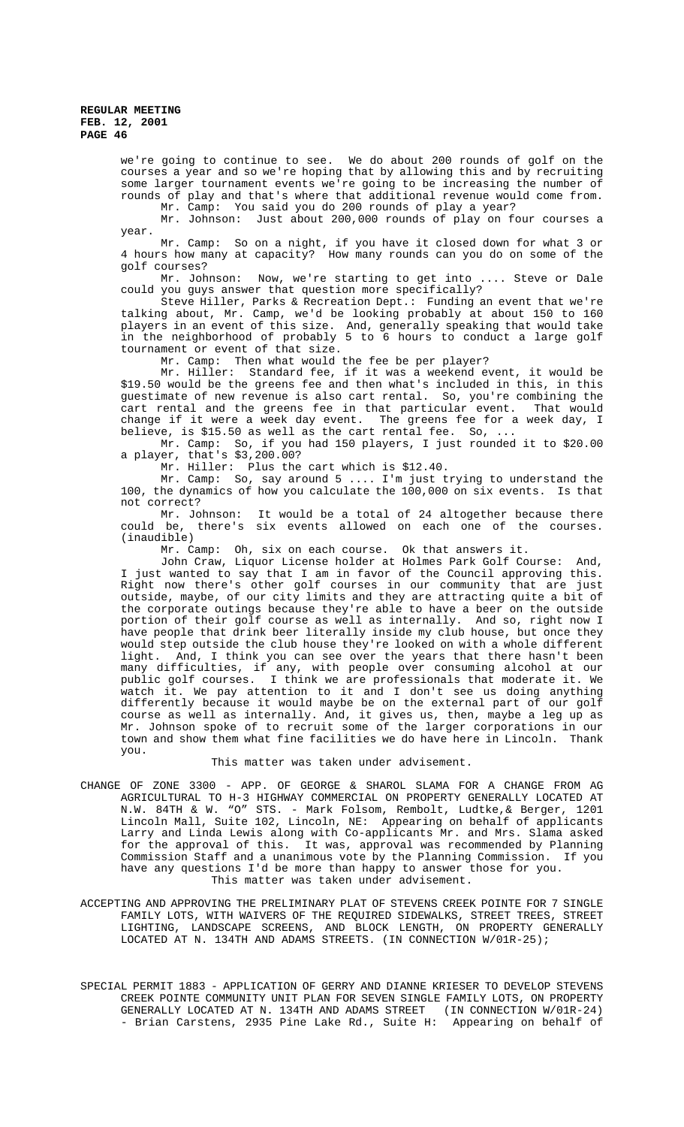we're going to continue to see. We do about 200 rounds of golf on the courses a year and so we're hoping that by allowing this and by recruiting some larger tournament events we're going to be increasing the number of rounds of play and that's where that additional revenue would come from. Mr. Camp: You said you do 200 rounds of play a year?

Mr. Johnson: Just about 200,000 rounds of play on four courses a year.

Mr. Camp: So on a night, if you have it closed down for what 3 or 4 hours how many at capacity? How many rounds can you do on some of the golf courses?

Mr. Johnson: Now, we're starting to get into .... Steve or Dale could you guys answer that question more specifically?

Steve Hiller, Parks & Recreation Dept.: Funding an event that we're talking about, Mr. Camp, we'd be looking probably at about 150 to 160 players in an event of this size. And, generally speaking that would take in the neighborhood of probably 5 to 6 hours to conduct a large golf tournament or event of that size.

Mr. Camp: Then what would the fee be per player?

Mr. Hiller: Standard fee, if it was a weekend event, it would be \$19.50 would be the greens fee and then what's included in this, in this guestimate of new revenue is also cart rental. So, you're combining the cart rental and the greens fee in that particular event. That would change if it were a week day event. The greens fee for a week day, I believe, is \$15.50 as well as the cart rental fee. So, ...

Mr. Camp: So, if you had 150 players, I just rounded it to \$20.00 a player, that's \$3,200.00?

Mr. Hiller: Plus the cart which is \$12.40.

Mr. Camp: So, say around 5 .... I'm just trying to understand the 100, the dynamics of how you calculate the 100,000 on six events. Is that not correct?

Mr. Johnson: It would be a total of 24 altogether because there could be, there's six events allowed on each one of the courses. (inaudible)

Mr. Camp: Oh, six on each course. Ok that answers it.

John Craw, Liquor License holder at Holmes Park Golf Course: And, I just wanted to say that I am in favor of the Council approving this. Right now there's other golf courses in our community that are just outside, maybe, of our city limits and they are attracting quite a bit of the corporate outings because they're able to have a beer on the outside portion of their golf course as well as internally. And so, right now I have people that drink beer literally inside my club house, but once they would step outside the club house they're looked on with a whole different light. And, I think you can see over the years that there hasn't been many difficulties, if any, with people over consuming alcohol at our public golf courses. I think we are professionals that moderate it. We watch it. We pay attention to it and I don't see us doing anything differently because it would maybe be on the external part of our golf course as well as internally. And, it gives us, then, maybe a leg up as Mr. Johnson spoke of to recruit some of the larger corporations in our town and show them what fine facilities we do have here in Lincoln. Thank you.

#### This matter was taken under advisement.

CHANGE OF ZONE 3300 - APP. OF GEORGE & SHAROL SLAMA FOR A CHANGE FROM AG AGRICULTURAL TO H-3 HIGHWAY COMMERCIAL ON PROPERTY GENERALLY LOCATED AT N.W. 84TH & W. "O" STS. - Mark Folsom, Rembolt, Ludtke,& Berger, 1201 Lincoln Mall, Suite 102, Lincoln, NE: Appearing on behalf of applicants Larry and Linda Lewis along with Co-applicants Mr. and Mrs. Slama asked for the approval of this. It was, approval was recommended by Planning Commission Staff and a unanimous vote by the Planning Commission. If you have any questions I'd be more than happy to answer those for you. This matter was taken under advisement.

ACCEPTING AND APPROVING THE PRELIMINARY PLAT OF STEVENS CREEK POINTE FOR 7 SINGLE FAMILY LOTS, WITH WAIVERS OF THE REQUIRED SIDEWALKS, STREET TREES, STREET LIGHTING, LANDSCAPE SCREENS, AND BLOCK LENGTH, ON PROPERTY GENERALLY LOCATED AT N. 134TH AND ADAMS STREETS. (IN CONNECTION W/01R-25);

SPECIAL PERMIT 1883 - APPLICATION OF GERRY AND DIANNE KRIESER TO DEVELOP STEVENS CREEK POINTE COMMUNITY UNIT PLAN FOR SEVEN SINGLE FAMILY LOTS, ON PROPERTY GENERALLY LOCATED AT N. 134TH AND ADAMS STREET (IN CONNECTION W/01R-24) - Brian Carstens, 2935 Pine Lake Rd., Suite H: Appearing on behalf of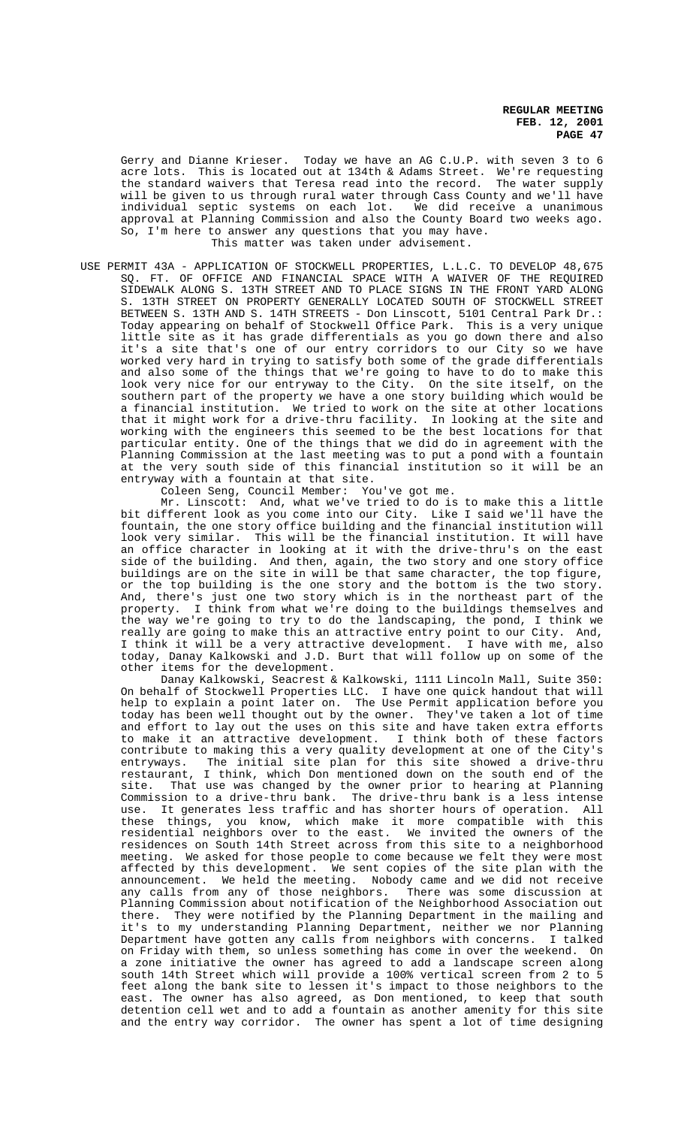Gerry and Dianne Krieser. Today we have an AG C.U.P. with seven 3 to 6 acre lots. This is located out at 134th & Adams Street. We're requesting the standard waivers that Teresa read into the record. The water supply will be given to us through rural water through Cass County and we'll have individual septic systems on each lot. We did receive a unanimous approval at Planning Commission and also the County Board two weeks ago. So, I'm here to answer any questions that you may have. This matter was taken under advisement.

USE PERMIT 43A - APPLICATION OF STOCKWELL PROPERTIES, L.L.C. TO DEVELOP 48,675 SQ. FT. OF OFFICE AND FINANCIAL SPACE WITH A WAIVER OF THE REQUIRED SIDEWALK ALONG S. 13TH STREET AND TO PLACE SIGNS IN THE FRONT YARD ALONG S. 13TH STREET ON PROPERTY GENERALLY LOCATED SOUTH OF STOCKWELL STREET BETWEEN S. 13TH AND S. 14TH STREETS - Don Linscott, 5101 Central Park Dr.: Today appearing on behalf of Stockwell Office Park. This is a very unique little site as it has grade differentials as you go down there and also it's a site that's one of our entry corridors to our City so we have worked very hard in trying to satisfy both some of the grade differentials and also some of the things that we're going to have to do to make this look very nice for our entryway to the City. On the site itself, on the southern part of the property we have a one story building which would be a financial institution. We tried to work on the site at other locations that it might work for a drive-thru facility. In looking at the site and working with the engineers this seemed to be the best locations for that particular entity. One of the things that we did do in agreement with the Planning Commission at the last meeting was to put a pond with a fountain at the very south side of this financial institution so it will be an entryway with a fountain at that site.

Coleen Seng, Council Member: You've got me.

Mr. Linscott: And, what we've tried to do is to make this a little bit different look as you come into our City. Like I said we'll have the fountain, the one story office building and the financial institution will look very similar. This will be the financial institution. It will have an office character in looking at it with the drive-thru's on the east side of the building. And then, again, the two story and one story office buildings are on the site in will be that same character, the top figure, or the top building is the one story and the bottom is the two story. And, there's just one two story which is in the northeast part of the property. I think from what we're doing to the buildings themselves and the way we're going to try to do the landscaping, the pond, I think we really are going to make this an attractive entry point to our City. And, I think it will be a very attractive development. I have with me, also I think it will be a very attractive development. I have with me, also<br>today, Danay Kalkowski and J.D. Burt that will follow up on some of the other items for the development.

Danay Kalkowski, Seacrest & Kalkowski, 1111 Lincoln Mall, Suite 350: On behalf of Stockwell Properties LLC. I have one quick handout that will help to explain a point later on. The Use Permit application before you today has been well thought out by the owner. They've taken a lot of time and effort to lay out the uses on this site and have taken extra efforts to make it an attractive development. I think both of these factors contribute to making this a very quality development at one of the City's entryways. The initial site plan for this site showed a drive-thru restaurant, I think, which Don mentioned down on the south end of the site. That use was changed by the owner prior to hearing at Planning Commission to a drive-thru bank. The drive-thru bank is a less intense use. It generates less traffic and has shorter hours of operation. All these things, you know, which make it more compatible with this residential neighbors over to the east. We invited the owners of the residences on South 14th Street across from this site to a neighborhood meeting. We asked for those people to come because we felt they were most affected by this development. We sent copies of the site plan with the announcement. We held the meeting. Nobody came and we did not receive any calls from any of those neighbors. There was some discussion at Planning Commission about notification of the Neighborhood Association out there. They were notified by the Planning Department in the mailing and it's to my understanding Planning Department, neither we nor Planning Department have gotten any calls from neighbors with concerns. I talked on Friday with them, so unless something has come in over the weekend. On a zone initiative the owner has agreed to add a landscape screen along south 14th Street which will provide a 100% vertical screen from 2 to 5 feet along the bank site to lessen it's impact to those neighbors to the east. The owner has also agreed, as Don mentioned, to keep that south detention cell wet and to add a fountain as another amenity for this site and the entry way corridor. The owner has spent a lot of time designing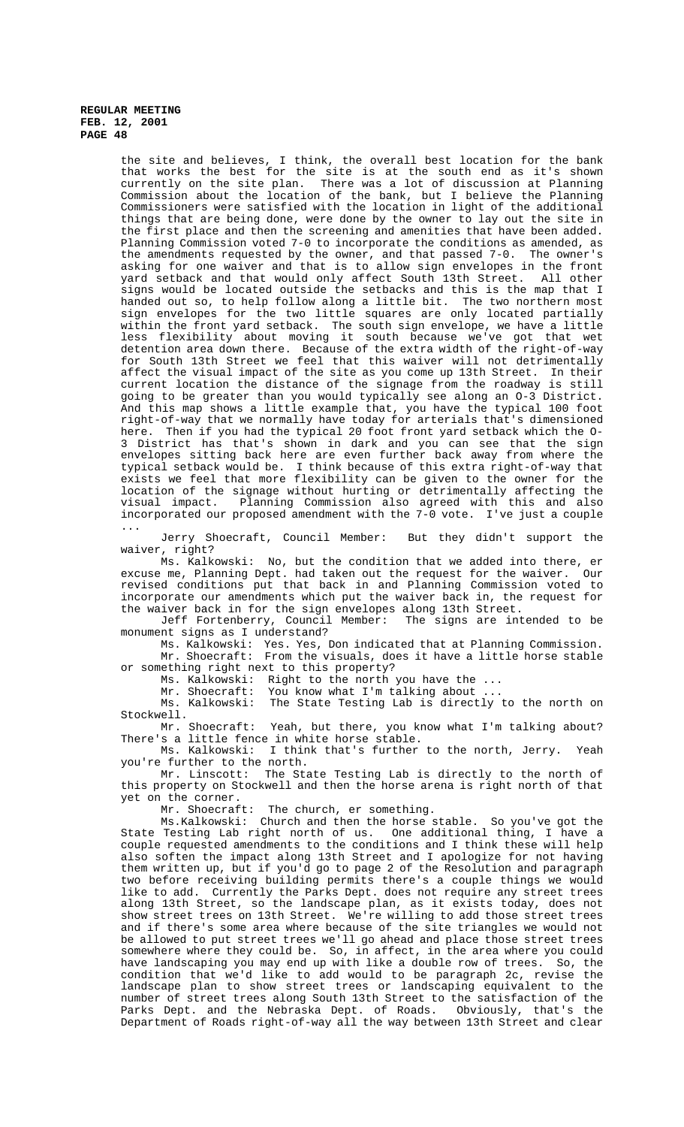the site and believes, I think, the overall best location for the bank that works the best for the site is at the south end as it's shown currently on the site plan. There was a lot of discussion at Planning Commission about the location of the bank, but I believe the Planning Commissioners were satisfied with the location in light of the additional things that are being done, were done by the owner to lay out the site in the first place and then the screening and amenities that have been added. Planning Commission voted 7-0 to incorporate the conditions as amended, as the amendments requested by the owner, and that passed 7-0. The owner's asking for one waiver and that is to allow sign envelopes in the front yard setback and that would only affect South 13th Street. All other signs would be located outside the setbacks and this is the map that I handed out so, to help follow along a little bit. The two northern most sign envelopes for the two little squares are only located partially within the front yard setback. The south sign envelope, we have a little less flexibility about moving it south because we've got that wet detention area down there. Because of the extra width of the right-of-way for South 13th Street we feel that this waiver will not detrimentally affect the visual impact of the site as you come up 13th Street. In their current location the distance of the signage from the roadway is still going to be greater than you would typically see along an O-3 District. And this map shows a little example that, you have the typical 100 foot right-of-way that we normally have today for arterials that's dimensioned<br>here. Then if you had the typical 20 foot front yard setback which the O-Then if you had the typical 20 foot front yard setback which the O-3 District has that's shown in dark and you can see that the sign envelopes sitting back here are even further back away from where the typical setback would be. I think because of this extra right-of-way that exists we feel that more flexibility can be given to the owner for the location of the signage without hurting or detrimentally affecting the visual impact. Planning Commission also agreed with this and also incorporated our proposed amendment with the 7-0 vote. I've just a couple ...

Jerry Shoecraft, Council Member: But they didn't support the waiver, right?

Ms. Kalkowski: No, but the condition that we added into there, ere me, Planning Dept. had taken out the request for the waiver. Our excuse me, Planning Dept. had taken out the request for the waiver. revised conditions put that back in and Planning Commission voted to incorporate our amendments which put the waiver back in, the request for the waiver back in for the sign envelopes along 13th Street.<br>Jeff Fortenberry, Council Member: The signs are intended to be

Jeff Fortenberry, Council Member: monument signs as I understand?

Ms. Kalkowski: Yes. Yes, Don indicated that at Planning Commission. Mr. Shoecraft: From the visuals, does it have a little horse stable or something right next to this property?

Ms. Kalkowski: Right to the north you have the ...<br>Mr. Shoecraft: You know what I'm talking about ... You know what I'm talking about

Mr. Shoecraft. The State Testing Lab is directly to the north on<br>Ms. Kalkowski: The State Testing Lab is directly to the north on Stockwell.

Mr. Shoecraft: Yeah, but there, you know what I'm talking about? There's a little fence in white horse stable.

Ms. Kalkowski: I think that's further to the north, Jerry. Yeah you're further to the north.

Mr. Linscott: The State Testing Lab is directly to the north of this property on Stockwell and then the horse arena is right north of that yet on the corner.

Mr. Shoecraft: The church, er something.

Ms.Kalkowski: Church and then the horse stable. So you've got the State Testing Lab right north of us. One additional thing, I have a couple requested amendments to the conditions and I think these will help also soften the impact along 13th Street and I apologize for not having them written up, but if you'd go to page 2 of the Resolution and paragraph two before receiving building permits there's a couple things we would like to add. Currently the Parks Dept. does not require any street trees along 13th Street, so the landscape plan, as it exists today, does not show street trees on 13th Street. We're willing to add those street trees and if there's some area where because of the site triangles we would not be allowed to put street trees we'll go ahead and place those street trees somewhere where they could be. So, in affect, in the area where you could have landscaping you may end up with like a double row of trees. So, the condition that we'd like to add would to be paragraph 2c, revise the landscape plan to show street trees or landscaping equivalent to the number of street trees along South 13th Street to the satisfaction of the Parks Dept. and the Nebraska Dept. of Roads. Obviously, that's the Department of Roads right-of-way all the way between 13th Street and clear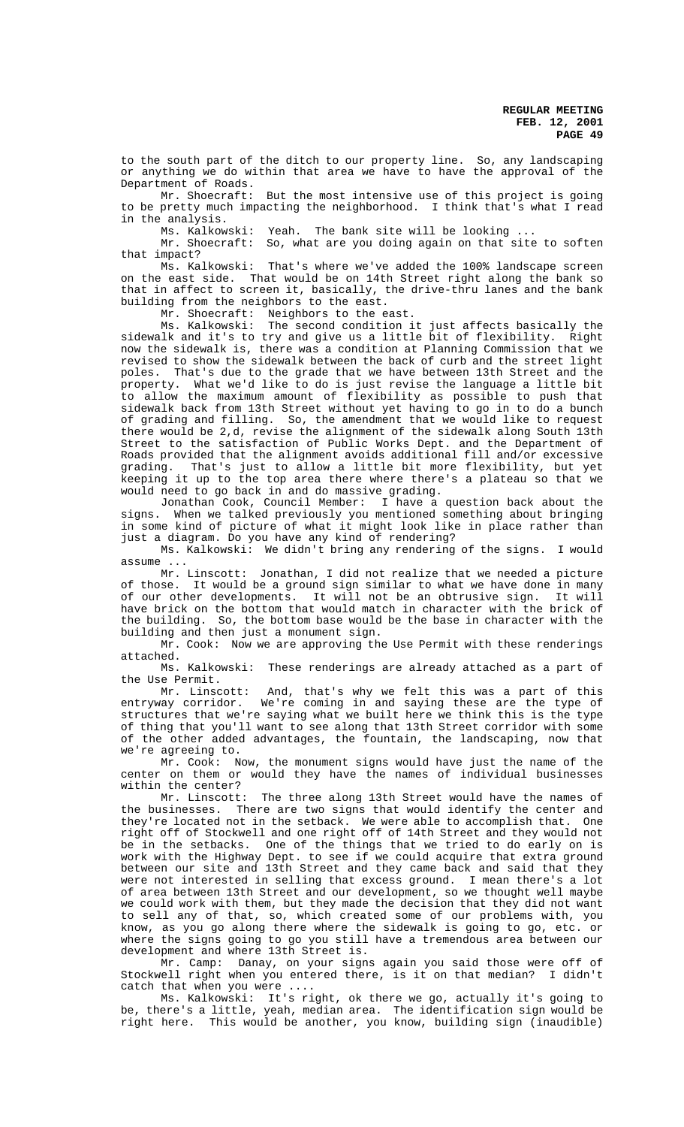to the south part of the ditch to our property line. So, any landscaping or anything we do within that area we have to have the approval of the Department of Roads.

Mr. Shoecraft: But the most intensive use of this project is going to be pretty much impacting the neighborhood. I think that's what I read in the analysis.

Ms. Kalkowski: Yeah. The bank site will be looking ...

Mr. Shoecraft: So, what are you doing again on that site to soften that impact?

Ms. Kalkowski: That's where we've added the 100% landscape screen on the east side. That would be on 14th Street right along the bank so that in affect to screen it, basically, the drive-thru lanes and the bank building from the neighbors to the east.

Mr. Shoecraft: Neighbors to the east.

Ms. Kalkowski: The second condition it just affects basically the sidewalk and it's to try and give us a little bit of flexibility. Right now the sidewalk is, there was a condition at Planning Commission that we revised to show the sidewalk between the back of curb and the street light poles. That's due to the grade that we have between 13th Street and the property. What we'd like to do is just revise the language a little bit to allow the maximum amount of flexibility as possible to push that sidewalk back from 13th Street without yet having to go in to do a bunch of grading and filling. So, the amendment that we would like to request there would be 2,d, revise the alignment of the sidewalk along South 13th Street to the satisfaction of Public Works Dept. and the Department of Roads provided that the alignment avoids additional fill and/or excessive<br>grading. That's just to allow a little bit more flexibility, but yet That's just to allow a little bit more flexibility, but yet keeping it up to the top area there where there's a plateau so that we would need to go back in and do massive grading.

Jonathan Cook, Council Member: I have a question back about the signs. When we talked previously you mentioned something about bringing in some kind of picture of what it might look like in place rather than just a diagram. Do you have any kind of rendering?

Ms. Kalkowski: We didn't bring any rendering of the signs. I would assume ...

Mr. Linscott: Jonathan, I did not realize that we needed a picture of those. It would be a ground sign similar to what we have done in many of our other developments. It will not be an obtrusive sign. It will have brick on the bottom that would match in character with the brick of the building. So, the bottom base would be the base in character with the building and then just a monument sign.

Mr. Cook: Now we are approving the Use Permit with these renderings attached.

Ms. Kalkowski: These renderings are already attached as a part of the Use Permit.

Mr. Linscott: And, that's why we felt this was a part of this entryway corridor. We're coming in and saying these are the type of structures that we're saying what we built here we think this is the type of thing that you'll want to see along that 13th Street corridor with some of the other added advantages, the fountain, the landscaping, now that we're agreeing to.

Mr. Cook: Now, the monument signs would have just the name of the center on them or would they have the names of individual businesses within the center?

Mr. Linscott: The three along 13th Street would have the names of the businesses. There are two signs that would identify the center and they're located not in the setback. We were able to accomplish that. One right off of Stockwell and one right off of 14th Street and they would not be in the setbacks. One of the things that we tried to do early on is work with the Highway Dept. to see if we could acquire that extra ground between our site and 13th Street and they came back and said that they were not interested in selling that excess ground. I mean there's a lot of area between 13th Street and our development, so we thought well maybe we could work with them, but they made the decision that they did not want to sell any of that, so, which created some of our problems with, you know, as you go along there where the sidewalk is going to go, etc. or where the signs going to go you still have a tremendous area between our development and where 13th Street is.

Mr. Camp: Danay, on your signs again you said those were off of Stockwell right when you entered there, is it on that median? I didn't catch that when you were ....

Ms. Kalkowski: It's right, ok there we go, actually it's going to be, there's a little, yeah, median area. The identification sign would be right here. This would be another, you know, building sign (inaudible)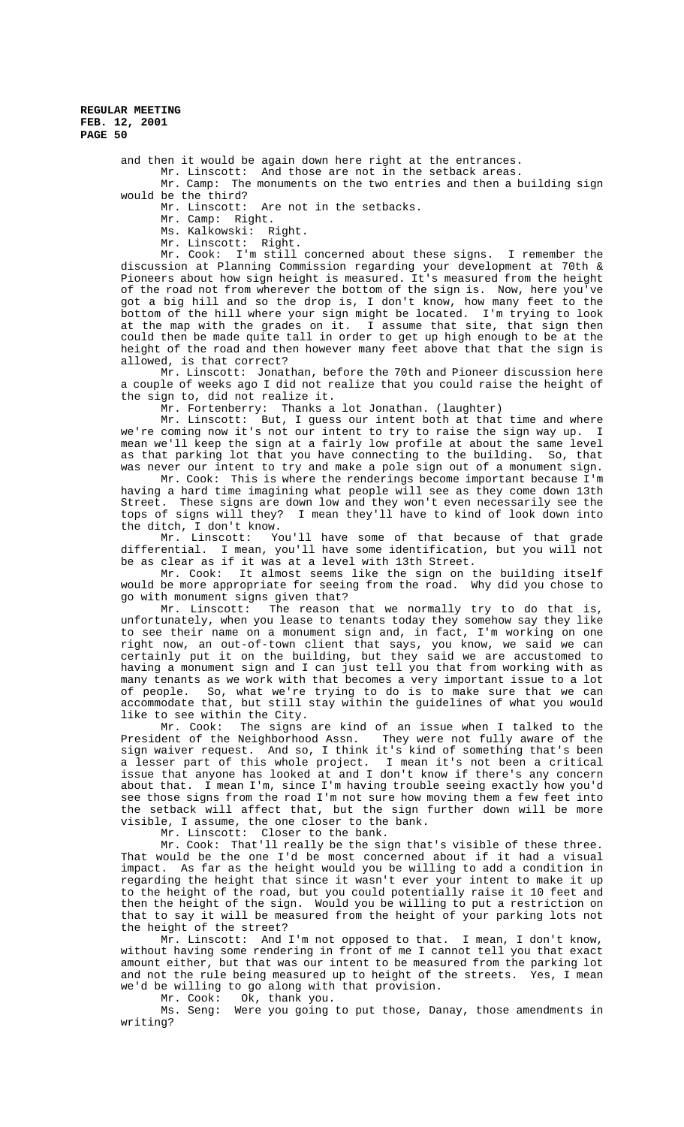and then it would be again down here right at the entrances. Mr. Linscott: And those are not in the setback areas.

Mr. Camp: The monuments on the two entries and then a building sign would be the third?

Mr. Linscott: Are not in the setbacks.

Mr. Camp: Right.

Ms. Kalkowski: Right.

Mr. Linscott: Right.

Mr. Cook: I'm still concerned about these signs. I remember the discussion at Planning Commission regarding your development at 70th & Pioneers about how sign height is measured. It's measured from the height of the road not from wherever the bottom of the sign is. Now, here you've got a big hill and so the drop is, I don't know, how many feet to the bottom of the hill where your sign might be located. I'm trying to look at the map with the grades on it. I assume that site, that sign then could then be made quite tall in order to get up high enough to be at the height of the road and then however many feet above that that the sign is allowed, is that correct?

Mr. Linscott: Jonathan, before the 70th and Pioneer discussion here a couple of weeks ago I did not realize that you could raise the height of the sign to, did not realize it.

Mr. Fortenberry: Thanks a lot Jonathan. (laughter)

Mr. Linscott: But, I guess our intent both at that time and where we're coming now it's not our intent to try to raise the sign way up. I mean we'll keep the sign at a fairly low profile at about the same level as that parking lot that you have connecting to the building. So, that was never our intent to try and make a pole sign out of a monument sign.

Mr. Cook: This is where the renderings become important because I'm having a hard time imagining what people will see as they come down 13th Street. These signs are down low and they won't even necessarily see the tops of signs will they? I mean they'll have to kind of look down into the ditch, I don't know.

Mr. Linscott: You'll have some of that because of that grade differential. I mean, you'll have some identification, but you will not be as clear as if it was at a level with 13th Street.

Mr. Cook: It almost seems like the sign on the building itself would be more appropriate for seeing from the road. Why did you chose to go with monument signs given that?

Mr. Linscott: The reason that we normally try to do that is, unfortunately, when you lease to tenants today they somehow say they like to see their name on a monument sign and, in fact, I'm working on one right now, an out-of-town client that says, you know, we said we can certainly put it on the building, but they said we are accustomed to having a monument sign and I can just tell you that from working with as many tenants as we work with that becomes a very important issue to a lot of people. So, what we're trying to do is to make sure that we can accommodate that, but still stay within the guidelines of what you would like to see within the City.

Mr. Cook: The signs are kind of an issue when I talked to the lent of the Neighborhood Assn. They were not fully aware of the President of the Neighborhood Assn. sign waiver request. And so, I think it's kind of something that's been a lesser part of this whole project. I mean it's not been a critical issue that anyone has looked at and I don't know if there's any concern about that. I mean I'm, since I'm having trouble seeing exactly how you'd see those signs from the road I'm not sure how moving them a few feet into the setback will affect that, but the sign further down will be more visible, I assume, the one closer to the bank.

Mr. Linscott: Closer to the bank.

Mr. Cook: That'll really be the sign that's visible of these three. That would be the one I'd be most concerned about if it had a visual impact. As far as the height would you be willing to add a condition in regarding the height that since it wasn't ever your intent to make it up to the height of the road, but you could potentially raise it 10 feet and then the height of the sign. Would you be willing to put a restriction on that to say it will be measured from the height of your parking lots not the height of the street?

Mr. Linscott: And I'm not opposed to that. I mean, I don't know, without having some rendering in front of me I cannot tell you that exact amount either, but that was our intent to be measured from the parking lot and not the rule being measured up to height of the streets. Yes, I mean we'd be willing to go along with that provision.

Mr. Cook: Ok, thank you.

Ms. Seng: Were you going to put those, Danay, those amendments in writing?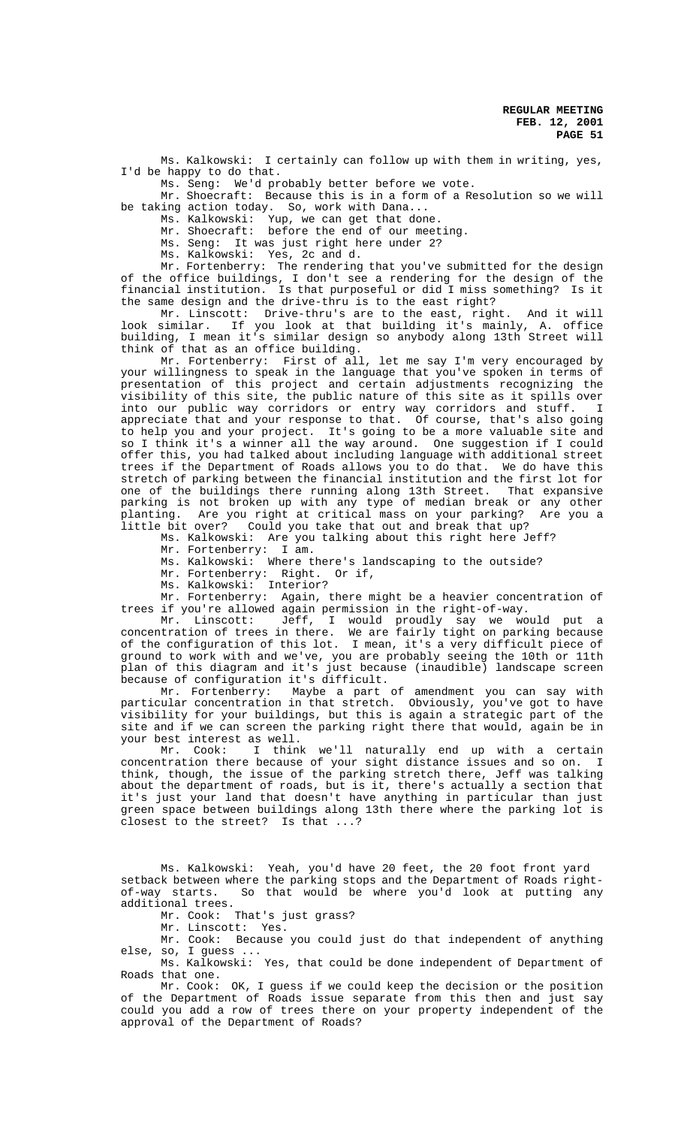Ms. Kalkowski: I certainly can follow up with them in writing, yes, I'd be happy to do that.

Ms. Seng: We'd probably better before we vote. Mr. Shoecraft: Because this is in a form of a Resolution so we will be taking action today. So, work with Dana...

Ms. Kalkowski: Yup, we can get that done.

Mr. Shoecraft: before the end of our meeting.

Ms. Seng: It was just right here under 2?

Ms. Kalkowski: Yes, 2c and d.

Mr. Fortenberry: The rendering that you've submitted for the design of the office buildings, I don't see a rendering for the design of the financial institution. Is that purposeful or did I miss something? Is it the same design and the drive-thru is to the east right?

Mr. Linscott: Drive-thru's are to the east, right. And it will look similar. If you look at that building it's mainly, A. office building, I mean it's similar design so anybody along 13th Street will think of that as an office building.

Mr. Fortenberry: First of all, let me say I'm very encouraged by your willingness to speak in the language that you've spoken in terms of presentation of this project and certain adjustments recognizing the visibility of this site, the public nature of this site as it spills over into our public way corridors or entry way corridors and stuff. I appreciate that and your response to that. Of course, that's also going to help you and your project. It's going to be a more valuable site and so I think it's a winner all the way around. One suggestion if I could offer this, you had talked about including language with additional street trees if the Department of Roads allows you to do that. We do have this stretch of parking between the financial institution and the first lot for one of the buildings there running along 13th Street. That expansive parking is not broken up with any type of median break or any other planting. Are you right at critical mass on your parking? Are you a little bit over? Could you take that out and break that up?

Ms. Kalkowski: Are you talking about this right here Jeff?

Mr. Fortenberry: I am.

Ms. Kalkowski: Where there's landscaping to the outside?

Mr. Fortenberry: Right. Or if,

Ms. Kalkowski: Interior?

Mr. Fortenberry: Again, there might be a heavier concentration of trees if you're allowed again permission in the right-of-way.

Mr. Linscott: Jeff, I would proudly say we would put a concentration of trees in there. We are fairly tight on parking because of the configuration of this lot. I mean, it's a very difficult piece of ground to work with and we've, you are probably seeing the 10th or 11th plan of this diagram and it's just because (inaudible) landscape screen because of configuration it's difficult.

Mr. Fortenberry: Maybe a part of amendment you can say with particular concentration in that stretch. Obviously, you've got to have visibility for your buildings, but this is again a strategic part of the site and if we can screen the parking right there that would, again be in your best interest as well.

Mr. Cook: I think we'll naturally end up with a certain concentration there because of your sight distance issues and so on. I think, though, the issue of the parking stretch there, Jeff was talking about the department of roads, but is it, there's actually a section that it's just your land that doesn't have anything in particular than just green space between buildings along 13th there where the parking lot is closest to the street? Is that ...?

Ms. Kalkowski: Yeah, you'd have 20 feet, the 20 foot front yard setback between where the parking stops and the Department of Roads rightof-way starts. So that would be where you'd look at putting any additional trees.

Mr. Cook: That's just grass?

Mr. Linscott: Yes.

Mr. Cook: Because you could just do that independent of anything else, so, I guess ...

Ms. Kalkowski: Yes, that could be done independent of Department of Roads that one.

Mr. Cook: OK, I guess if we could keep the decision or the position of the Department of Roads issue separate from this then and just say could you add a row of trees there on your property independent of the approval of the Department of Roads?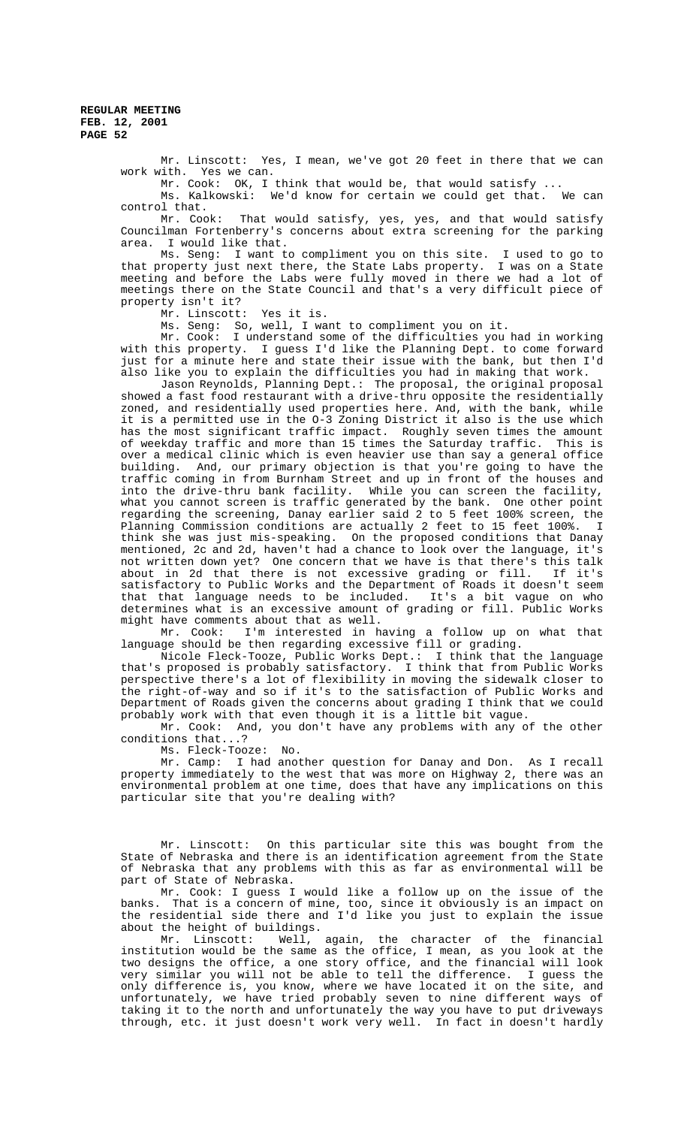> Mr. Linscott: Yes, I mean, we've got 20 feet in there that we can work with. Yes we can.

> Mr. Cook: OK, I think that would be, that would satisfy ... Ms. Kalkowski: We'd know for certain we could get that. We can control that.

> Mr. Cook: That would satisfy, yes, yes, and that would satisfy Councilman Fortenberry's concerns about extra screening for the parking area. I would like that.

> Ms. Seng: I want to compliment you on this site. I used to go to that property just next there, the State Labs property. I was on a State meeting and before the Labs were fully moved in there we had a lot of meetings there on the State Council and that's a very difficult piece of property isn't it?

Mr. Linscott: Yes it is.

Ms. Seng: So, well, I want to compliment you on it.

Mr. Cook: I understand some of the difficulties you had in working with this property. I guess I'd like the Planning Dept. to come forward just for a minute here and state their issue with the bank, but then I'd also like you to explain the difficulties you had in making that work.

Jason Reynolds, Planning Dept.: The proposal, the original proposal showed a fast food restaurant with a drive-thru opposite the residentially zoned, and residentially used properties here. And, with the bank, while it is a permitted use in the O-3 Zoning District it also is the use which has the most significant traffic impact. Roughly seven times the amount of weekday traffic and more than 15 times the Saturday traffic. This is over a medical clinic which is even heavier use than say a general office building. And, our primary objection is that you're going to have the traffic coming in from Burnham Street and up in front of the houses and into the drive-thru bank facility. While you can screen the facility, what you cannot screen is traffic generated by the bank. One other point regarding the screening, Danay earlier said 2 to 5 feet 100% screen, the Planning Commission conditions are actually 2 feet to 15 feet 100%. I think she was just mis-speaking. On the proposed conditions that Danay mentioned, 2c and 2d, haven't had a chance to look over the language, it's not written down yet? One concern that we have is that there's this talk about in 2d that there is not excessive grading or fill. If it's satisfactory to Public Works and the Department of Roads it doesn't seem that that language needs to be included. It's a bit vague on who determines what is an excessive amount of grading or fill. Public Works might have comments about that as well.

Mr. Cook: I'm interested in having a follow up on what that language should be then regarding excessive fill or grading.

Nicole Fleck-Tooze, Public Works Dept.: I think that the language that's proposed is probably satisfactory. I think that from Public Works perspective there's a lot of flexibility in moving the sidewalk closer to the right-of-way and so if it's to the satisfaction of Public Works and Department of Roads given the concerns about grading I think that we could probably work with that even though it is a little bit vague.

Mr. Cook: And, you don't have any problems with any of the other conditions that...?

Ms. Fleck-Tooze: No.

Mr. Camp: I had another question for Danay and Don. As I recall property immediately to the west that was more on Highway 2, there was an environmental problem at one time, does that have any implications on this particular site that you're dealing with?

Mr. Linscott: On this particular site this was bought from the State of Nebraska and there is an identification agreement from the State of Nebraska that any problems with this as far as environmental will be part of State of Nebraska.

Mr. Cook: I guess I would like a follow up on the issue of the banks. That is a concern of mine, too, since it obviously is an impact on the residential side there and I'd like you just to explain the issue about the height of buildings.

Mr. Linscott: Well, again, the character of the financial institution would be the same as the office, I mean, as you look at the two designs the office, a one story office, and the financial will look very similar you will not be able to tell the difference. I guess the only difference is, you know, where we have located it on the site, and unfortunately, we have tried probably seven to nine different ways of taking it to the north and unfortunately the way you have to put driveways through, etc. it just doesn't work very well. In fact in doesn't hardly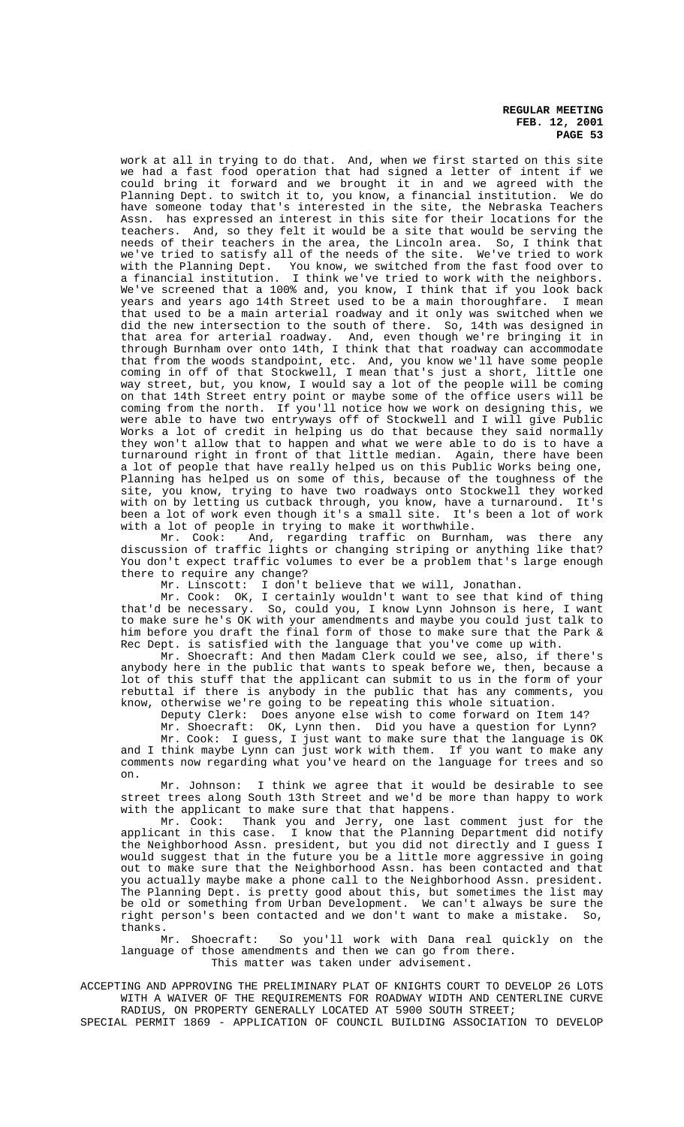work at all in trying to do that. And, when we first started on this site we had a fast food operation that had signed a letter of intent if we could bring it forward and we brought it in and we agreed with the Planning Dept. to switch it to, you know, a financial institution. We do have someone today that's interested in the site, the Nebraska Teachers Assn. has expressed an interest in this site for their locations for the teachers. And, so they felt it would be a site that would be serving the And, so they felt it would be a site that would be serving the needs of their teachers in the area, the Lincoln area. So, I think that we've tried to satisfy all of the needs of the site. We've tried to work with the Planning Dept. You know, we switched from the fast food over to a financial institution. I think we've tried to work with the neighbors. We've screened that a 100% and, you know, I think that if you look back years and years ago 14th Street used to be a main thoroughfare. I mean that used to be a main arterial roadway and it only was switched when we did the new intersection to the south of there. So, 14th was designed in that area for arterial roadway. And, even though we're bringing it in through Burnham over onto 14th, I think that that roadway can accommodate that from the woods standpoint, etc. And, you know we'll have some people coming in off of that Stockwell, I mean that's just a short, little one way street, but, you know, I would say a lot of the people will be coming on that 14th Street entry point or maybe some of the office users will be coming from the north. If you'll notice how we work on designing this, we were able to have two entryways off of Stockwell and I will give Public Works a lot of credit in helping us do that because they said normally they won't allow that to happen and what we were able to do is to have a turnaround right in front of that little median. Again, there have been a lot of people that have really helped us on this Public Works being one, Planning has helped us on some of this, because of the toughness of the site, you know, trying to have two roadways onto Stockwell they worked with on by letting us cutback through, you know, have a turnaround. It's been a lot of work even though it's a small site. It's been a lot of work with a lot of people in trying to make it worthwhile.

Mr. Cook: And, regarding traffic on Burnham, was there any discussion of traffic lights or changing striping or anything like that? You don't expect traffic volumes to ever be a problem that's large enough there to require any change?

Mr. Linscott: I don't believe that we will, Jonathan.

Mr. Cook: OK, I certainly wouldn't want to see that kind of thing that'd be necessary. So, could you, I know Lynn Johnson is here, I want to make sure he's OK with your amendments and maybe you could just talk to him before you draft the final form of those to make sure that the Park & Rec Dept. is satisfied with the language that you've come up with.

Mr. Shoecraft: And then Madam Clerk could we see, also, if there's anybody here in the public that wants to speak before we, then, because a lot of this stuff that the applicant can submit to us in the form of your rebuttal if there is anybody in the public that has any comments, you know, otherwise we're going to be repeating this whole situation.

Deputy Clerk: Does anyone else wish to come forward on Item 14?

Mr. Shoecraft: OK, Lynn then. Did you have a question for Lynn? Mr. Cook: I guess, I just want to make sure that the language is OK and I think maybe Lynn can just work with them. If you want to make any comments now regarding what you've heard on the language for trees and so on.

Mr. Johnson: I think we agree that it would be desirable to see street trees along South 13th Street and we'd be more than happy to work with the applicant to make sure that that happens.

Mr. Cook: Thank you and Jerry, one last comment just for the applicant in this case. I know that the Planning Department did notify the Neighborhood Assn. president, but you did not directly and I guess I would suggest that in the future you be a little more aggressive in going out to make sure that the Neighborhood Assn. has been contacted and that you actually maybe make a phone call to the Neighborhood Assn. president. The Planning Dept. is pretty good about this, but sometimes the list may be old or something from Urban Development. We can't always be sure the right person's been contacted and we don't want to make a mistake. So, thanks.

Mr. Shoecraft: So you'll work with Dana real quickly on the language of those amendments and then we can go from there. This matter was taken under advisement.

ACCEPTING AND APPROVING THE PRELIMINARY PLAT OF KNIGHTS COURT TO DEVELOP 26 LOTS WITH A WAIVER OF THE REQUIREMENTS FOR ROADWAY WIDTH AND CENTERLINE CURVE RADIUS, ON PROPERTY GENERALLY LOCATED AT 5900 SOUTH STREET;

SPECIAL PERMIT 1869 - APPLICATION OF COUNCIL BUILDING ASSOCIATION TO DEVELOP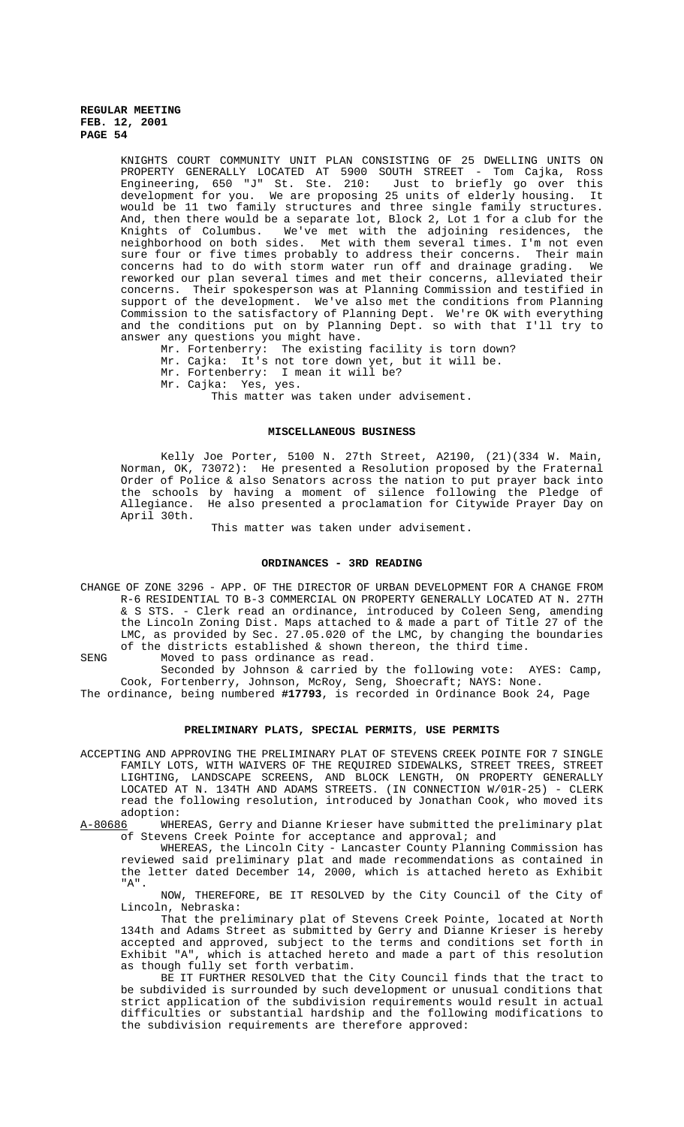KNIGHTS COURT COMMUNITY UNIT PLAN CONSISTING OF 25 DWELLING UNITS ON PROPERTY GENERALLY LOCATED AT 5900 SOUTH STREET - Tom Cajka, Ross Engineering, 650 "J" St. Ste. 210: Just to briefly go over this development for you. We are proposing 25 units of elderly housing. It would be 11 two family structures and three single family structures. And, then there would be a separate lot, Block 2, Lot 1 for a club for the Knights of Columbus. We've met with the adjoining residences, the neighborhood on both sides. Met with them several times. I'm not even sure four or five times probably to address their concerns. Their main<br>concerns had to do with storm water run off and drainage grading. We concerns had to do with storm water run off and drainage grading. reworked our plan several times and met their concerns, alleviated their concerns. Their spokesperson was at Planning Commission and testified in support of the development. We've also met the conditions from Planning Commission to the satisfactory of Planning Dept. We're OK with everything and the conditions put on by Planning Dept. so with that I'll try to answer any questions you might have.

Mr. Fortenberry: The existing facility is torn down? Mr. Cajka: It's not tore down yet, but it will be. Mr. Fortenberry: I mean it will be?

Mr. Cajka: Yes, yes.

This matter was taken under advisement.

## **MISCELLANEOUS BUSINESS**

Kelly Joe Porter, 5100 N. 27th Street, A2190, (21)(334 W. Main, Norman, OK, 73072):He presented a Resolution proposed by the Fraternal Order of Police & also Senators across the nation to put prayer back into the schools by having a moment of silence following the Pledge of Allegiance. He also presented a proclamation for Citywide Prayer Day on April 30th.

This matter was taken under advisement.

#### **ORDINANCES - 3RD READING**

CHANGE OF ZONE 3296 - APP. OF THE DIRECTOR OF URBAN DEVELOPMENT FOR A CHANGE FROM R-6 RESIDENTIAL TO B-3 COMMERCIAL ON PROPERTY GENERALLY LOCATED AT N. 27TH & S STS. - Clerk read an ordinance, introduced by Coleen Seng, amending the Lincoln Zoning Dist. Maps attached to & made a part of Title 27 of the LMC, as provided by Sec. 27.05.020 of the LMC, by changing the boundaries of the districts established & shown thereon, the third time. SENG Moved to pass ordinance as read.

Seconded by Johnson & carried by the following vote: AYES: Camp, Cook, Fortenberry, Johnson, McRoy, Seng, Shoecraft; NAYS: None.

The ordinance, being numbered **#17793**, is recorded in Ordinance Book 24, Page

#### **PRELIMINARY PLATS, SPECIAL PERMITS**, **USE PERMITS**

ACCEPTING AND APPROVING THE PRELIMINARY PLAT OF STEVENS CREEK POINTE FOR 7 SINGLE FAMILY LOTS, WITH WAIVERS OF THE REQUIRED SIDEWALKS, STREET TREES, STREET LIGHTING, LANDSCAPE SCREENS, AND BLOCK LENGTH, ON PROPERTY GENERALLY LOCATED AT N. 134TH AND ADAMS STREETS. (IN CONNECTION W/01R-25) - CLERK read the following resolution, introduced by Jonathan Cook, who moved its adoption:

A-80686 WHEREAS, Gerry and Dianne Krieser have submitted the preliminary plat of Stevens Creek Pointe for acceptance and approval; and

WHEREAS, the Lincoln City - Lancaster County Planning Commission has reviewed said preliminary plat and made recommendations as contained in the letter dated December 14, 2000, which is attached hereto as Exhibit "A".

NOW, THEREFORE, BE IT RESOLVED by the City Council of the City of Lincoln, Nebraska:

That the preliminary plat of Stevens Creek Pointe, located at North 134th and Adams Street as submitted by Gerry and Dianne Krieser is hereby accepted and approved, subject to the terms and conditions set forth in Exhibit "A", which is attached hereto and made a part of this resolution as though fully set forth verbatim.

BE IT FURTHER RESOLVED that the City Council finds that the tract to be subdivided is surrounded by such development or unusual conditions that strict application of the subdivision requirements would result in actual difficulties or substantial hardship and the following modifications to the subdivision requirements are therefore approved: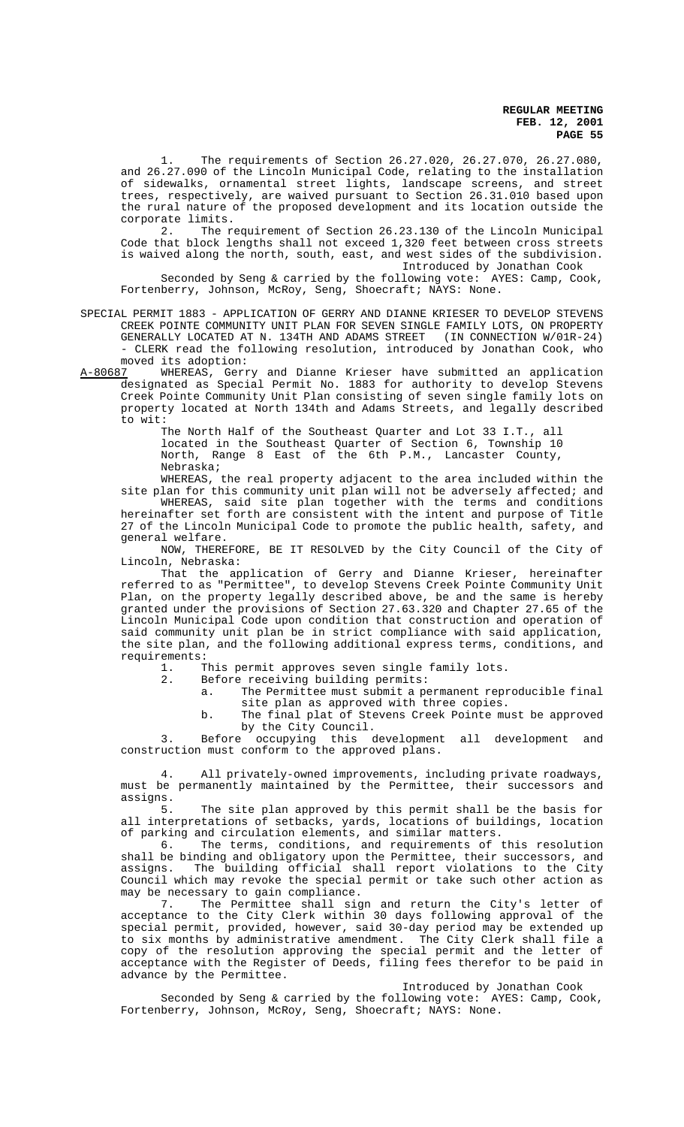The requirements of Section 26.27.020, 26.27.070, 26.27.080, and 26.27.090 of the Lincoln Municipal Code, relating to the installation of sidewalks, ornamental street lights, landscape screens, and street trees, respectively, are waived pursuant to Section 26.31.010 based upon the rural nature of the proposed development and its location outside the corporate limits.<br>2. The r

The requirement of Section 26.23.130 of the Lincoln Municipal Code that block lengths shall not exceed 1,320 feet between cross streets is waived along the north, south, east, and west sides of the subdivision. Introduced by Jonathan Cook

Seconded by Seng & carried by the following vote: AYES: Camp, Cook, Fortenberry, Johnson, McRoy, Seng, Shoecraft; NAYS: None.

SPECIAL PERMIT 1883 - APPLICATION OF GERRY AND DIANNE KRIESER TO DEVELOP STEVENS CREEK POINTE COMMUNITY UNIT PLAN FOR SEVEN SINGLE FAMILY LOTS, ON PROPERTY GENERALLY LOCATED AT N. 134TH AND ADAMS STREET (IN CONNECTION W/01R-24) - CLERK read the following resolution, introduced by Jonathan Cook, who moved its adoption:<br>A-80687 WHEREAS, Gerr

A-80687 MHEREAS, Gerry and Dianne Krieser have submitted an application designated as Special Permit No. 1883 for authority to develop Stevens Creek Pointe Community Unit Plan consisting of seven single family lots on property located at North 134th and Adams Streets, and legally described to wit:

The North Half of the Southeast Quarter and Lot 33 I.T., all located in the Southeast Quarter of Section 6, Township 10 North, Range 8 East of the 6th P.M., Lancaster County, Nebraska;

WHEREAS, the real property adjacent to the area included within the site plan for this community unit plan will not be adversely affected; and

WHEREAS, said site plan together with the terms and conditions hereinafter set forth are consistent with the intent and purpose of Title 27 of the Lincoln Municipal Code to promote the public health, safety, and general welfare.

NOW, THEREFORE, BE IT RESOLVED by the City Council of the City of Lincoln, Nebraska:

That the application of Gerry and Dianne Krieser, hereinafter referred to as "Permittee", to develop Stevens Creek Pointe Community Unit Plan, on the property legally described above, be and the same is hereby granted under the provisions of Section 27.63.320 and Chapter 27.65 of the Lincoln Municipal Code upon condition that construction and operation of said community unit plan be in strict compliance with said application, the site plan, and the following additional express terms, conditions, and requirements:

1. This permit approves seven single family lots.

2. Before receiving building permits:

a. The Permittee must submit a permanent reproducible final site plan as approved with three copies.

b. The final plat of Stevens Creek Pointe must be approved

by the City Council. 3. Before occupying this development all development and construction must conform to the approved plans.

4. All privately-owned improvements, including private roadways, must be permanently maintained by the Permittee, their successors and assigns.

5. The site plan approved by this permit shall be the basis for all interpretations of setbacks, yards, locations of buildings, location of parking and circulation elements, and similar matters.<br>6. The terms, conditions, and requirements of

The terms, conditions, and requirements of this resolution shall be binding and obligatory upon the Permittee, their successors, and assigns. The building official shall report violations to the City Council which may revoke the special permit or take such other action as may be necessary to gain compliance.<br>7. The Permittee shall sig

The Permittee shall sign and return the City's letter of acceptance to the City Clerk within 30 days following approval of the special permit, provided, however, said 30-day period may be extended up to six months by administrative amendment. The City Clerk shall file a copy of the resolution approving the special permit and the letter of acceptance with the Register of Deeds, filing fees therefor to be paid in advance by the Permittee.

Introduced by Jonathan Cook

Seconded by Seng & carried by the following vote: AYES: Camp, Cook, Fortenberry, Johnson, McRoy, Seng, Shoecraft; NAYS: None.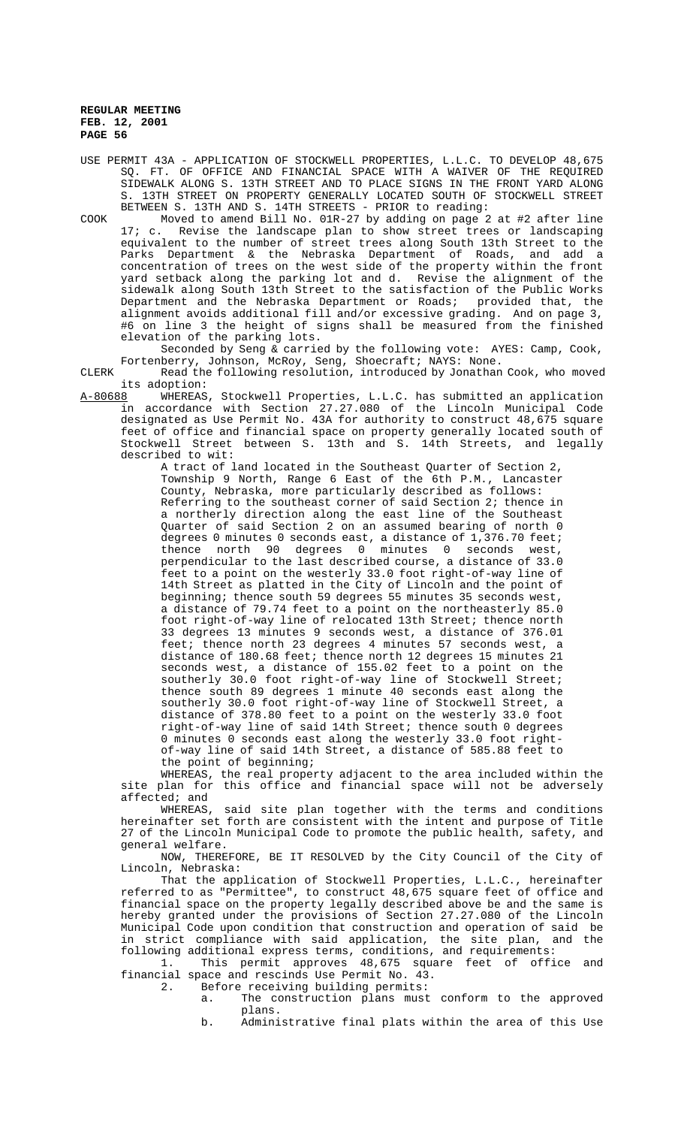USE PERMIT 43A - APPLICATION OF STOCKWELL PROPERTIES, L.L.C. TO DEVELOP 48,675 SQ. FT. OF OFFICE AND FINANCIAL SPACE WITH A WAIVER OF THE REQUIRED SIDEWALK ALONG S. 13TH STREET AND TO PLACE SIGNS IN THE FRONT YARD ALONG S. 13TH STREET ON PROPERTY GENERALLY LOCATED SOUTH OF STOCKWELL STREET BETWEEN S. 13TH AND S. 14TH STREETS - PRIOR to reading:

COOK Moved to amend Bill No. 01R-27 by adding on page 2 at #2 after line 17; c. Revise the landscape plan to show street trees or landscaping equivalent to the number of street trees along South 13th Street to the Parks Department & the Nebraska Department of Roads, and add a concentration of trees on the west side of the property within the front yard setback along the parking lot and d. Revise the alignment of the sidewalk along South 13th Street to the satisfaction of the Public Works Department and the Nebraska Department or Roads; provided that, the alignment avoids additional fill and/or excessive grading. And on page 3, #6 on line 3 the height of signs shall be measured from the finished elevation of the parking lots.

Seconded by Seng & carried by the following vote: AYES: Camp, Cook, Fortenberry, Johnson, McRoy, Seng, Shoecraft; NAYS: None.

CLERK Read the following resolution, introduced by Jonathan Cook, who moved its adoption:<br><u>A-80688</u> WHEREAS

WHEREAS, Stockwell Properties, L.L.C. has submitted an application in accordance with Section 27.27.080 of the Lincoln Municipal Code designated as Use Permit No. 43A for authority to construct 48,675 square feet of office and financial space on property generally located south of Stockwell Street between S. 13th and S. 14th Streets, and legally described to wit:

A tract of land located in the Southeast Quarter of Section 2, Township 9 North, Range 6 East of the 6th P.M., Lancaster County, Nebraska, more particularly described as follows: Referring to the southeast corner of said Section 2; thence in a northerly direction along the east line of the Southeast Quarter of said Section 2 on an assumed bearing of north 0 degrees 0 minutes 0 seconds east, a distance of 1,376.70 feet; thence north 90 degrees 0 minutes 0 seconds west, perpendicular to the last described course, a distance of 33.0 feet to a point on the westerly 33.0 foot right-of-way line of 14th Street as platted in the City of Lincoln and the point of beginning; thence south 59 degrees 55 minutes 35 seconds west, a distance of 79.74 feet to a point on the northeasterly 85.0 foot right-of-way line of relocated 13th Street; thence north 33 degrees 13 minutes 9 seconds west, a distance of 376.01 feet; thence north 23 degrees 4 minutes 57 seconds west, a distance of 180.68 feet; thence north 12 degrees 15 minutes 21 seconds west, a distance of 155.02 feet to a point on the southerly 30.0 foot right-of-way line of Stockwell Street; thence south 89 degrees 1 minute 40 seconds east along the southerly 30.0 foot right-of-way line of Stockwell Street, a distance of 378.80 feet to a point on the westerly 33.0 foot right-of-way line of said 14th Street; thence south 0 degrees 0 minutes 0 seconds east along the westerly 33.0 foot rightof-way line of said 14th Street, a distance of 585.88 feet to the point of beginning;

WHEREAS, the real property adjacent to the area included within the site plan for this office and financial space will not be adversely affected; and

WHEREAS, said site plan together with the terms and conditions hereinafter set forth are consistent with the intent and purpose of Title 27 of the Lincoln Municipal Code to promote the public health, safety, and general welfare.

NOW, THEREFORE, BE IT RESOLVED by the City Council of the City of Lincoln, Nebraska:

That the application of Stockwell Properties, L.L.C., hereinafter referred to as "Permittee", to construct 48,675 square feet of office and financial space on the property legally described above be and the same is hereby granted under the provisions of Section 27.27.080 of the Lincoln Municipal Code upon condition that construction and operation of said be in strict compliance with said application, the site plan, and the following additional express terms, conditions, and requirements:

1. This permit approves 48,675 square feet of office and financial space and rescinds Use Permit No. 43.

2. Before receiving building permits:

- a. The construction plans must conform to the approved plans.
- b. Administrative final plats within the area of this Use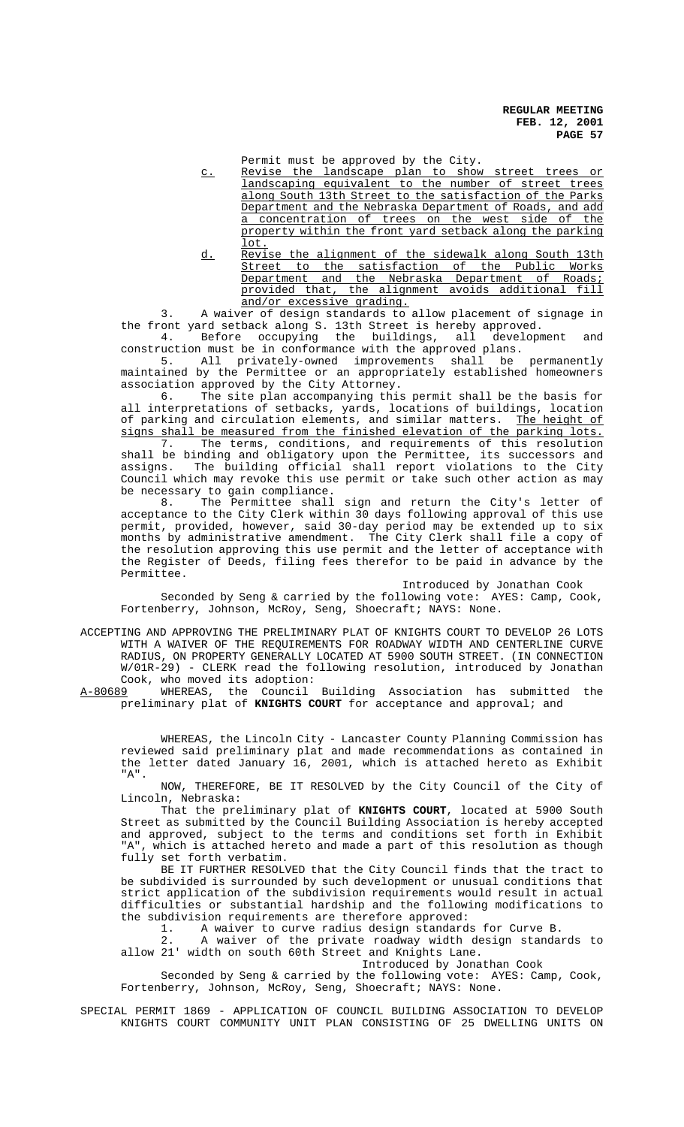Permit must be approved by the City.

- c. Revise the landscape plan to show street trees or landscaping equivalent to the number of street trees along South 13th Street to the satisfaction of the Parks Department and the Nebraska Department of Roads, and add a concentration of trees on the west side of the property within the front yard setback along the parking lot.
- d. Revise the alignment of the sidewalk along South 13th Street to the satisfaction of the Public Works Department and the Nebraska Department of Roads; provided that, the alignment avoids additional fill and/or excessive grading.

3. A waiver of design standards to allow placement of signage in the front yard setback along S. 13th Street is hereby approved.

4. Before occupying the buildings, all development and construction must be in conformance with the approved plans.

5. All privately-owned improvements shall be permanently maintained by the Permittee or an appropriately established homeowners

association approved by the City Attorney.<br>6. The site plan accompanying this The site plan accompanying this permit shall be the basis for all interpretations of setbacks, yards, locations of buildings, location of parking and circulation elements, and similar matters. The height of signs shall be measured from the finished elevation of the parking lots. 7. The terms, conditions, and requirements of this resolution shall be binding and obligatory upon the Permittee, its successors and assigns. The building official shall report violations to the City Council which may revoke this use permit or take such other action as may be necessary to gain compliance.

8. The Permittee shall sign and return the City's letter of acceptance to the City Clerk within 30 days following approval of this use permit, provided, however, said 30-day period may be extended up to six months by administrative amendment. The City Clerk shall file a copy of the resolution approving this use permit and the letter of acceptance with the Register of Deeds, filing fees therefor to be paid in advance by the Permittee.

Introduced by Jonathan Cook

Seconded by Seng & carried by the following vote: AYES: Camp, Cook, Fortenberry, Johnson, McRoy, Seng, Shoecraft; NAYS: None.

ACCEPTING AND APPROVING THE PRELIMINARY PLAT OF KNIGHTS COURT TO DEVELOP 26 LOTS WITH A WAIVER OF THE REQUIREMENTS FOR ROADWAY WIDTH AND CENTERLINE CURVE RADIUS, ON PROPERTY GENERALLY LOCATED AT 5900 SOUTH STREET. (IN CONNECTION W/01R-29) - CLERK read the following resolution, introduced by Jonathan Cook, who moved its adoption:<br>A-80689 WHEREAS, the Council

WHEREAS, the Council Building Association has submitted the preliminary plat of **KNIGHTS COURT** for acceptance and approval; and

WHEREAS, the Lincoln City - Lancaster County Planning Commission has reviewed said preliminary plat and made recommendations as contained in the letter dated January 16, 2001, which is attached hereto as Exhibit "A".

NOW, THEREFORE, BE IT RESOLVED by the City Council of the City of Lincoln, Nebraska:

That the preliminary plat of **KNIGHTS COURT**, located at 5900 South Street as submitted by the Council Building Association is hereby accepted and approved, subject to the terms and conditions set forth in Exhibit "A", which is attached hereto and made a part of this resolution as though fully set forth verbatim.

BE IT FURTHER RESOLVED that the City Council finds that the tract to be subdivided is surrounded by such development or unusual conditions that strict application of the subdivision requirements would result in actual difficulties or substantial hardship and the following modifications to the subdivision requirements are therefore approved:

1. A waiver to curve radius design standards for Curve B.

2. A waiver of the private roadway width design standards to allow 21' width on south 60th Street and Knights Lane.

Introduced by Jonathan Cook

Seconded by Seng & carried by the following vote: AYES: Camp, Cook, Fortenberry, Johnson, McRoy, Seng, Shoecraft; NAYS: None.

SPECIAL PERMIT 1869 - APPLICATION OF COUNCIL BUILDING ASSOCIATION TO DEVELOP KNIGHTS COURT COMMUNITY UNIT PLAN CONSISTING OF 25 DWELLING UNITS ON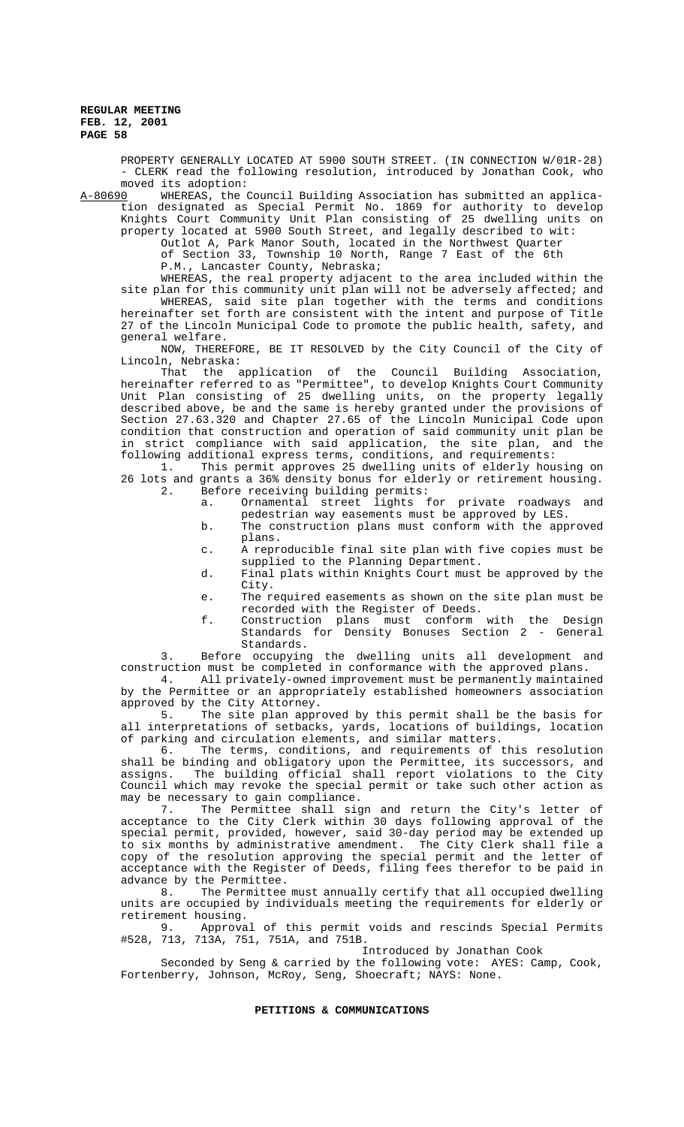PROPERTY GENERALLY LOCATED AT 5900 SOUTH STREET. (IN CONNECTION W/01R-28) - CLERK read the following resolution, introduced by Jonathan Cook, who

moved its adoption:<br>A-80690 WHEREAS, the A-80690 WHEREAS, the Council Building Association has submitted an application designated as Special Permit No. 1869 for authority to develop Knights Court Community Unit Plan consisting of 25 dwelling units on property located at 5900 South Street, and legally described to wit:

> Outlot A, Park Manor South, located in the Northwest Quarter of Section 33, Township 10 North, Range 7 East of the 6th

P.M., Lancaster County, Nebraska;

WHEREAS, the real property adjacent to the area included within the site plan for this community unit plan will not be adversely affected; and WHEREAS, said site plan together with the terms and conditions hereinafter set forth are consistent with the intent and purpose of Title 27 of the Lincoln Municipal Code to promote the public health, safety, and general welfare.

NOW, THEREFORE, BE IT RESOLVED by the City Council of the City of Lincoln, Nebraska:

That the application of the Council Building Association, hereinafter referred to as "Permittee", to develop Knights Court Community Unit Plan consisting of 25 dwelling units, on the property legally described above, be and the same is hereby granted under the provisions of Section 27.63.320 and Chapter 27.65 of the Lincoln Municipal Code upon condition that construction and operation of said community unit plan be in strict compliance with said application, the site plan, and the following additional express terms, conditions, and requirements:

1. This permit approves 25 dwelling units of elderly housing on 26 lots and grants a 36% density bonus for elderly or retirement housing. 2. Before receiving building permits:

a. Ornamental street lights for private roadways and pedestrian way easements must be approved by LES.

- b. The construction plans must conform with the approved plans.
- c. A reproducible final site plan with five copies must be supplied to the Planning Department.
- d. Final plats within Knights Court must be approved by the City.
- e. The required easements as shown on the site plan must be recorded with the Register of Deeds.
- f. Construction plans must conform with the Design Standards for Density Bonuses Section 2 - General Standards.

3. Before occupying the dwelling units all development and construction must be completed in conformance with the approved plans.

4. All privately-owned improvement must be permanently maintained by the Permittee or an appropriately established homeowners association approved by the City Attorney.

5. The site plan approved by this permit shall be the basis for all interpretations of setbacks, yards, locations of buildings, location of parking and circulation elements, and similar matters.

6. The terms, conditions, and requirements of this resolution shall be binding and obligatory upon the Permittee, its successors, and assigns. The building official shall report violations to the City Council which may revoke the special permit or take such other action as may be necessary to gain compliance.

7. The Permittee shall sign and return the City's letter of acceptance to the City Clerk within 30 days following approval of the special permit, provided, however, said 30-day period may be extended up to six months by administrative amendment. The City Clerk shall file a copy of the resolution approving the special permit and the letter of acceptance with the Register of Deeds, filing fees therefor to be paid in advance by the Permittee.

8. The Permittee must annually certify that all occupied dwelling units are occupied by individuals meeting the requirements for elderly or retirement housing.

9. Approval of this permit voids and rescinds Special Permits #528, 713, 713A, 751, 751A, and 751B.

Introduced by Jonathan Cook

Seconded by Seng & carried by the following vote: AYES: Camp, Cook, Fortenberry, Johnson, McRoy, Seng, Shoecraft; NAYS: None.

# **PETITIONS & COMMUNICATIONS**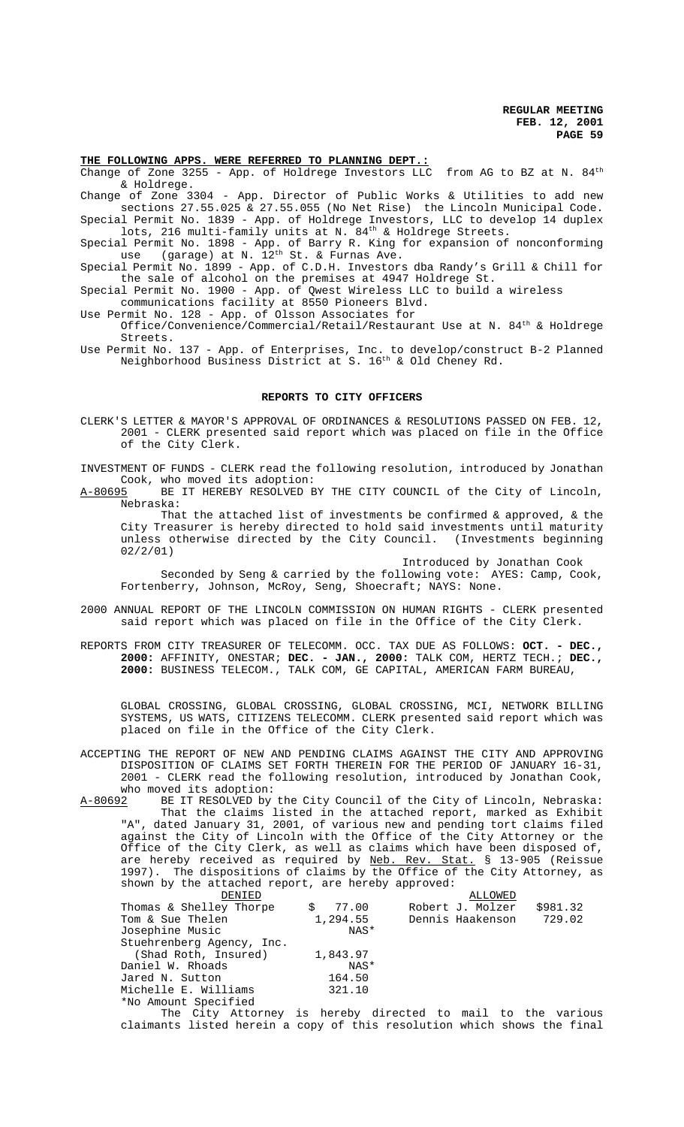# **THE FOLLOWING APPS. WERE REFERRED TO PLANNING DEPT.:**

Change of Zone 3255 - App. of Holdrege Investors LLC from AG to BZ at N. 84<sup>th</sup> & Holdrege.

Change of Zone 3304 - App. Director of Public Works & Utilities to add new sections 27.55.025 & 27.55.055 (No Net Rise) the Lincoln Municipal Code. Special Permit No. 1839 - App. of Holdrege Investors, LLC to develop 14 duplex

lots, 216 multi-family units at N. 84<sup>th</sup> & Holdrege Streets. Special Permit No. 1898 - App. of Barry R. King for expansion of nonconforming

use (garage) at N.  $12^{\text{th}}$  St. & Furnas Ave. Special Permit No. 1899 - App. of C.D.H. Investors dba Randy's Grill & Chill for the sale of alcohol on the premises at 4947 Holdrege St.

Special Permit No. 1900 - App. of Qwest Wireless LLC to build a wireless

communications facility at 8550 Pioneers Blvd.

- Use Permit No. 128 App. of Olsson Associates for Office/Convenience/Commercial/Retail/Restaurant Use at N. 84th & Holdrege Streets.
- Use Permit No. 137 App. of Enterprises, Inc. to develop/construct B-2 Planned Neighborhood Business District at S. 16th & Old Cheney Rd.

#### **REPORTS TO CITY OFFICERS**

CLERK'S LETTER & MAYOR'S APPROVAL OF ORDINANCES & RESOLUTIONS PASSED ON FEB. 12, 2001 - CLERK presented said report which was placed on file in the Office of the City Clerk.

INVESTMENT OF FUNDS - CLERK read the following resolution, introduced by Jonathan Cook, who moved its adoption:

A-80695 BE IT HEREBY RESOLVED BY THE CITY COUNCIL of the City of Lincoln, Nebraska:

That the attached list of investments be confirmed  $\&$  approved,  $\&$  the City Treasurer is hereby directed to hold said investments until maturity unless otherwise directed by the City Council. (Investments beginning 02/2/01)

Introduced by Jonathan Cook

Seconded by Seng & carried by the following vote: AYES: Camp, Cook, Fortenberry, Johnson, McRoy, Seng, Shoecraft; NAYS: None.

- 2000 ANNUAL REPORT OF THE LINCOLN COMMISSION ON HUMAN RIGHTS CLERK presented said report which was placed on file in the Office of the City Clerk.
- REPORTS FROM CITY TREASURER OF TELECOMM. OCC. TAX DUE AS FOLLOWS: **OCT. DEC., 2000:** AFFINITY, ONESTAR; **DEC. - JAN., 2000:** TALK COM, HERTZ TECH.; **DEC., 2000:** BUSINESS TELECOM., TALK COM, GE CAPITAL, AMERICAN FARM BUREAU,

GLOBAL CROSSING, GLOBAL CROSSING, GLOBAL CROSSING, MCI, NETWORK BILLING SYSTEMS, US WATS, CITIZENS TELECOMM. CLERK presented said report which was placed on file in the Office of the City Clerk.

- ACCEPTING THE REPORT OF NEW AND PENDING CLAIMS AGAINST THE CITY AND APPROVING DISPOSITION OF CLAIMS SET FORTH THEREIN FOR THE PERIOD OF JANUARY 16-31, 2001 - CLERK read the following resolution, introduced by Jonathan Cook, who moved its adoption:
- A-80692 BE IT RESOLVED by the City Council of the City of Lincoln, Nebraska: That the claims listed in the attached report, marked as Exhibit "A", dated January 31, 2001, of various new and pending tort claims filed against the City of Lincoln with the Office of the City Attorney or the Office of the City Clerk, as well as claims which have been disposed of, are hereby received as required by Neb. Rev. Stat. § 13-905 (Reissue 1997). The dispositions of claims by the Office of the City Attorney, as shown by the attached report, are hereby approved:

| DENIED                                                  |             | ALLOWED          |          |
|---------------------------------------------------------|-------------|------------------|----------|
| Thomas & Shelley Thorpe                                 | 77.00<br>Ŝ. | Robert J. Molzer | \$981.32 |
| Tom & Sue Thelen                                        | 1,294.55    | Dennis Haakenson | 729.02   |
| Josephine Music                                         | NAS*        |                  |          |
| Stuehrenberg Agency, Inc.                               |             |                  |          |
| (Shad Roth, Insured)                                    | 1,843.97    |                  |          |
| Daniel W. Rhoads                                        | NAS*        |                  |          |
| Jared N. Sutton                                         | 164.50      |                  |          |
| Michelle E. Williams                                    | 321.10      |                  |          |
| *No Amount Specified                                    |             |                  |          |
| mba Afric Arrange fo benche dinama de meid ra ribe de l |             |                  |          |

The City Attorney is hereby directed to mail to the various claimants listed herein a copy of this resolution which shows the final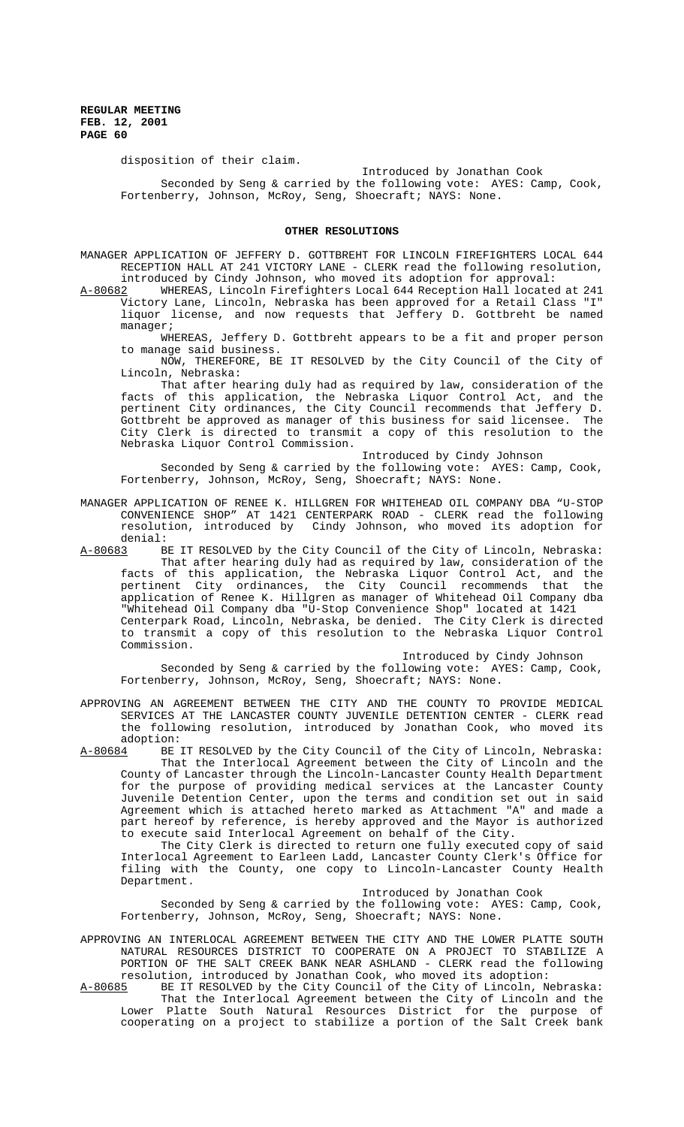disposition of their claim.

Introduced by Jonathan Cook

Seconded by Seng & carried by the following vote: AYES: Camp, Cook, Fortenberry, Johnson, McRoy, Seng, Shoecraft; NAYS: None.

#### **OTHER RESOLUTIONS**

MANAGER APPLICATION OF JEFFERY D. GOTTBREHT FOR LINCOLN FIREFIGHTERS LOCAL 644 RECEPTION HALL AT 241 VICTORY LANE - CLERK read the following resolution, introduced by Cindy Johnson, who moved its adoption for approval:

A-80682 WHEREAS, Lincoln Firefighters Local 644 Reception Hall located at 241 Victory Lane, Lincoln, Nebraska has been approved for a Retail Class "I" liquor license, and now requests that Jeffery D. Gottbreht be named manager;

WHEREAS, Jeffery D. Gottbreht appears to be a fit and proper person to manage said business.

NOW, THEREFORE, BE IT RESOLVED by the City Council of the City of Lincoln, Nebraska:

That after hearing duly had as required by law, consideration of the facts of this application, the Nebraska Liquor Control Act, and the pertinent City ordinances, the City Council recommends that Jeffery D. Gottbreht be approved as manager of this business for said licensee. The City Clerk is directed to transmit a copy of this resolution to the Nebraska Liquor Control Commission.

Introduced by Cindy Johnson

Seconded by Seng & carried by the following vote: AYES: Camp, Cook, Fortenberry, Johnson, McRoy, Seng, Shoecraft; NAYS: None.

MANAGER APPLICATION OF RENEE K. HILLGREN FOR WHITEHEAD OIL COMPANY DBA "U-STOP CONVENIENCE SHOP" AT 1421 CENTERPARK ROAD - CLERK read the following resolution, introduced by Cindy Johnson, who moved its adoption for

denial:<br>A-80683 B BE IT RESOLVED by the City Council of the City of Lincoln, Nebraska: That after hearing duly had as required by law, consideration of the facts of this application, the Nebraska Liquor Control Act, and the pertinent City ordinances, the City Council recommends that the application of Renee K. Hillgren as manager of Whitehead Oil Company dba "Whitehead Oil Company dba "U-Stop Convenience Shop" located at 1421 Centerpark Road, Lincoln, Nebraska, be denied. The City Clerk is directed to transmit a copy of this resolution to the Nebraska Liquor Control Commission.

Introduced by Cindy Johnson

Seconded by Seng & carried by the following vote: AYES: Camp, Cook, Fortenberry, Johnson, McRoy, Seng, Shoecraft; NAYS: None.

APPROVING AN AGREEMENT BETWEEN THE CITY AND THE COUNTY TO PROVIDE MEDICAL SERVICES AT THE LANCASTER COUNTY JUVENILE DETENTION CENTER - CLERK read the following resolution, introduced by Jonathan Cook, who moved its adoption:<br>A-80684 BE

BE IT RESOLVED by the City Council of the City of Lincoln, Nebraska: That the Interlocal Agreement between the City of Lincoln and the County of Lancaster through the Lincoln-Lancaster County Health Department for the purpose of providing medical services at the Lancaster County Juvenile Detention Center, upon the terms and condition set out in said Agreement which is attached hereto marked as Attachment "A" and made a part hereof by reference, is hereby approved and the Mayor is authorized to execute said Interlocal Agreement on behalf of the City.

The City Clerk is directed to return one fully executed copy of said Interlocal Agreement to Earleen Ladd, Lancaster County Clerk's Office for filing with the County, one copy to Lincoln-Lancaster County Health Department.

Introduced by Jonathan Cook

Seconded by Seng & carried by the following vote: AYES: Camp, Cook, Fortenberry, Johnson, McRoy, Seng, Shoecraft; NAYS: None.

APPROVING AN INTERLOCAL AGREEMENT BETWEEN THE CITY AND THE LOWER PLATTE SOUTH NATURAL RESOURCES DISTRICT TO COOPERATE ON A PROJECT TO STABILIZE A PORTION OF THE SALT CREEK BANK NEAR ASHLAND - CLERK read the following resolution, introduced by Jonathan Cook, who moved its adoption:<br>A-80685 BE IT RESOLVED by the City Council of the City of Lincoln, N

BE IT RESOLVED by the City Council of the City of Lincoln, Nebraska: That the Interlocal Agreement between the City of Lincoln and the Lower Platte South Natural Resources District for the purpose of cooperating on a project to stabilize a portion of the Salt Creek bank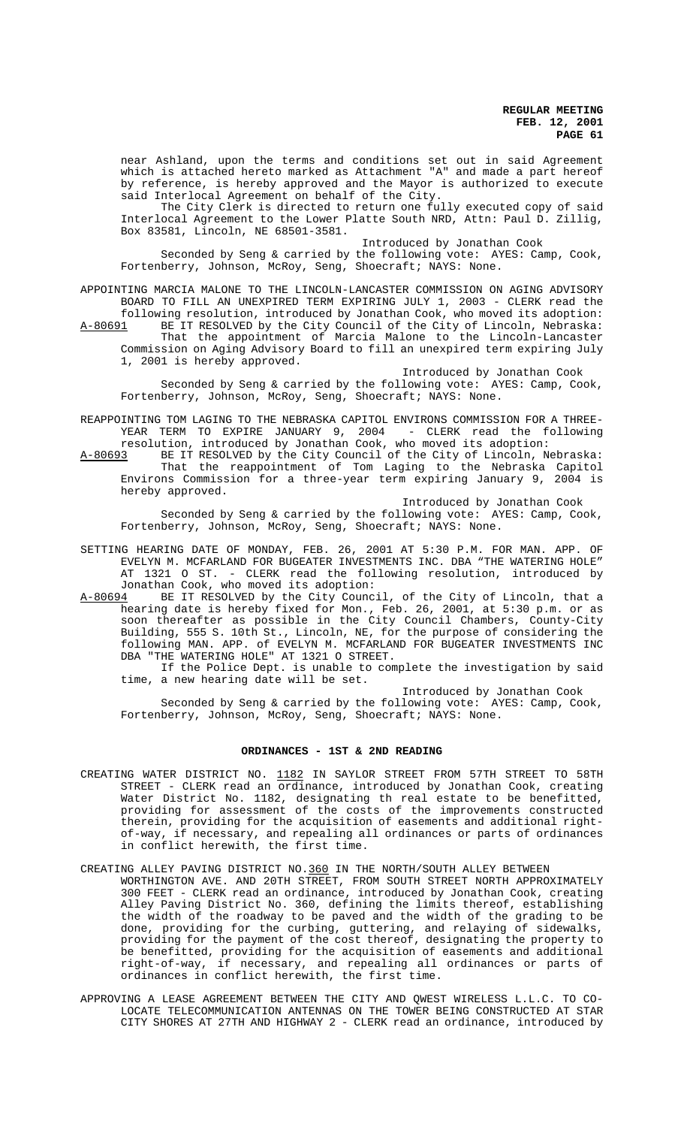near Ashland, upon the terms and conditions set out in said Agreement which is attached hereto marked as Attachment "A" and made a part hereof by reference, is hereby approved and the Mayor is authorized to execute said Interlocal Agreement on behalf of the City.

The City Clerk is directed to return one fully executed copy of said Interlocal Agreement to the Lower Platte South NRD, Attn: Paul D. Zillig, Box 83581, Lincoln, NE 68501-3581.

Introduced by Jonathan Cook

Seconded by Seng & carried by the following vote: AYES: Camp, Cook, Fortenberry, Johnson, McRoy, Seng, Shoecraft; NAYS: None.

APPOINTING MARCIA MALONE TO THE LINCOLN-LANCASTER COMMISSION ON AGING ADVISORY BOARD TO FILL AN UNEXPIRED TERM EXPIRING JULY 1, 2003 - CLERK read the following resolution, introduced by Jonathan Cook, who moved its adoption: A-80691 BE IT RESOLVED by the City Council of the City of Lincoln, Nebraska: That the appointment of Marcia Malone to the Lincoln-Lancaster

Commission on Aging Advisory Board to fill an unexpired term expiring July 1, 2001 is hereby approved.

Introduced by Jonathan Cook Seconded by Seng & carried by the following vote: AYES: Camp, Cook, Fortenberry, Johnson, McRoy, Seng, Shoecraft; NAYS: None.

REAPPOINTING TOM LAGING TO THE NEBRASKA CAPITOL ENVIRONS COMMISSION FOR A THREE-YEAR TERM TO EXPIRE JANUARY 9, 2004 - CLERK read the following resolution, introduced by Jonathan Cook, who moved its adoption:

A-80693 BE IT RESOLVED by the City Council of the City of Lincoln, Nebraska: That the reappointment of Tom Laging to the Nebraska Capitol Environs Commission for a three-year term expiring January 9, 2004 is hereby approved.

Introduced by Jonathan Cook

Seconded by Seng & carried by the following vote: AYES: Camp, Cook, Fortenberry, Johnson, McRoy, Seng, Shoecraft; NAYS: None.

- SETTING HEARING DATE OF MONDAY, FEB. 26, 2001 AT 5:30 P.M. FOR MAN. APP. OF EVELYN M. MCFARLAND FOR BUGEATER INVESTMENTS INC. DBA "THE WATERING HOLE" AT 1321 O ST. - CLERK read the following resolution, introduced by Jonathan Cook, who moved its adoption:<br>A-80694 BE IT RESOLVED by the City Counc
- BE IT RESOLVED by the City Council, of the City of Lincoln, that a hearing date is hereby fixed for Mon., Feb. 26, 2001, at 5:30 p.m. or as soon thereafter as possible in the City Council Chambers, County-City Building, 555 S. 10th St., Lincoln, NE, for the purpose of considering the following MAN. APP. of EVELYN M. MCFARLAND FOR BUGEATER INVESTMENTS INC DBA "THE WATERING HOLE" AT 1321 O STREET.

If the Police Dept. is unable to complete the investigation by said time, a new hearing date will be set.

Introduced by Jonathan Cook

Seconded by Seng & carried by the following vote: AYES: Camp, Cook, Fortenberry, Johnson, McRoy, Seng, Shoecraft; NAYS: None.

# **ORDINANCES - 1ST & 2ND READING**

CREATING WATER DISTRICT NO. 1182 IN SAYLOR STREET FROM 57TH STREET TO 58TH STREET - CLERK read an ordinance, introduced by Jonathan Cook, creating Water District No. 1182, designating th real estate to be benefitted, providing for assessment of the costs of the improvements constructed therein, providing for the acquisition of easements and additional rightof-way, if necessary, and repealing all ordinances or parts of ordinances in conflict herewith, the first time.

CREATING ALLEY PAVING DISTRICT NO.360 IN THE NORTH/SOUTH ALLEY BETWEEN

- WORTHINGTON AVE. AND 20TH STREET, FROM SOUTH STREET NORTH APPROXIMATELY 300 FEET - CLERK read an ordinance, introduced by Jonathan Cook, creating Alley Paving District No. 360, defining the limits thereof, establishing the width of the roadway to be paved and the width of the grading to be done, providing for the curbing, guttering, and relaying of sidewalks, providing for the payment of the cost thereof, designating the property to be benefitted, providing for the acquisition of easements and additional right-of-way, if necessary, and repealing all ordinances or parts of ordinances in conflict herewith, the first time.
- APPROVING A LEASE AGREEMENT BETWEEN THE CITY AND QWEST WIRELESS L.L.C. TO CO-LOCATE TELECOMMUNICATION ANTENNAS ON THE TOWER BEING CONSTRUCTED AT STAR CITY SHORES AT 27TH AND HIGHWAY 2 - CLERK read an ordinance, introduced by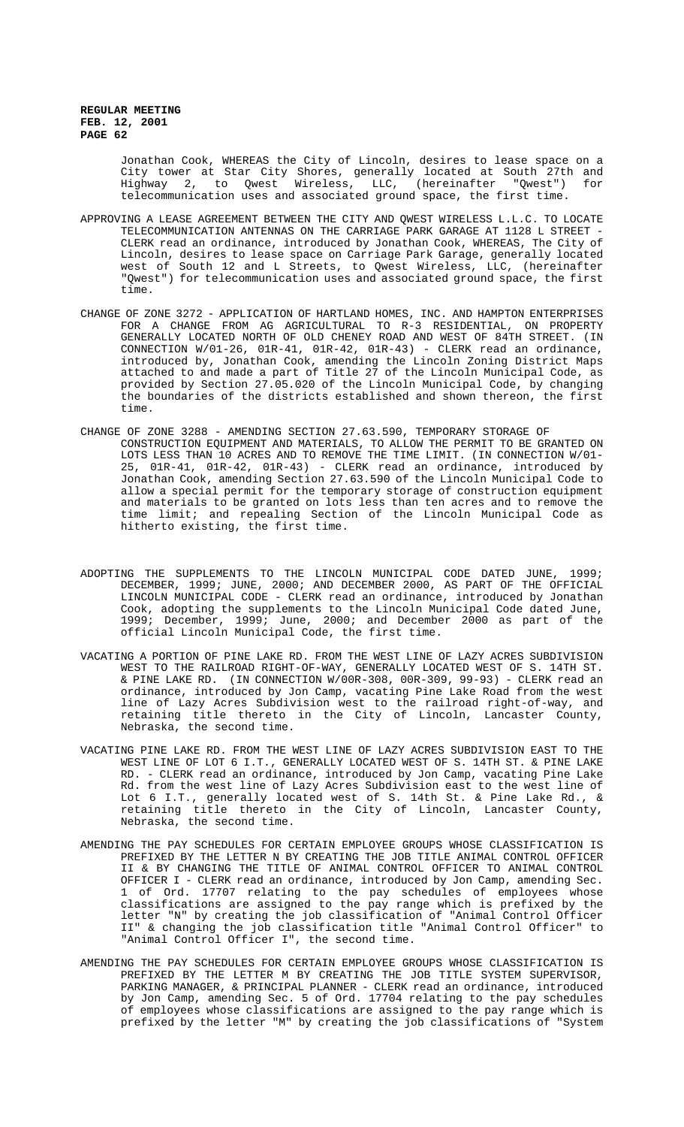> Jonathan Cook, WHEREAS the City of Lincoln, desires to lease space on a City tower at Star City Shores, generally located at South 27th and Highway 2, to Qwest Wireless, LLC, (hereinafter "Qwest") for telecommunication uses and associated ground space, the first time.

- APPROVING A LEASE AGREEMENT BETWEEN THE CITY AND QWEST WIRELESS L.L.C. TO LOCATE TELECOMMUNICATION ANTENNAS ON THE CARRIAGE PARK GARAGE AT 1128 L STREET - CLERK read an ordinance, introduced by Jonathan Cook, WHEREAS, The City of Lincoln, desires to lease space on Carriage Park Garage, generally located west of South 12 and L Streets, to Qwest Wireless, LLC, (hereinafter "Qwest") for telecommunication uses and associated ground space, the first time.
- CHANGE OF ZONE 3272 APPLICATION OF HARTLAND HOMES, INC. AND HAMPTON ENTERPRISES FOR A CHANGE FROM AG AGRICULTURAL TO R-3 RESIDENTIAL, ON PROPERTY GENERALLY LOCATED NORTH OF OLD CHENEY ROAD AND WEST OF 84TH STREET. (IN CONNECTION W/01-26, 01R-41, 01R-42, 01R-43) - CLERK read an ordinance, introduced by, Jonathan Cook, amending the Lincoln Zoning District Maps attached to and made a part of Title 27 of the Lincoln Municipal Code, as provided by Section 27.05.020 of the Lincoln Municipal Code, by changing the boundaries of the districts established and shown thereon, the first time.
- CHANGE OF ZONE 3288 AMENDING SECTION 27.63.590, TEMPORARY STORAGE OF CONSTRUCTION EQUIPMENT AND MATERIALS, TO ALLOW THE PERMIT TO BE GRANTED ON LOTS LESS THAN 10 ACRES AND TO REMOVE THE TIME LIMIT. (IN CONNECTION W/01- 25, 01R-41, 01R-42, 01R-43) - CLERK read an ordinance, introduced by Jonathan Cook, amending Section 27.63.590 of the Lincoln Municipal Code to allow a special permit for the temporary storage of construction equipment and materials to be granted on lots less than ten acres and to remove the time limit; and repealing Section of the Lincoln Municipal Code as hitherto existing, the first time.
- ADOPTING THE SUPPLEMENTS TO THE LINCOLN MUNICIPAL CODE DATED JUNE, 1999; DECEMBER, 1999; JUNE, 2000; AND DECEMBER 2000, AS PART OF THE OFFICIAL LINCOLN MUNICIPAL CODE - CLERK read an ordinance, introduced by Jonathan Cook, adopting the supplements to the Lincoln Municipal Code dated June, 1999; December, 1999; June, 2000; and December 2000 as part of the official Lincoln Municipal Code, the first time.
- VACATING A PORTION OF PINE LAKE RD. FROM THE WEST LINE OF LAZY ACRES SUBDIVISION WEST TO THE RAILROAD RIGHT-OF-WAY, GENERALLY LOCATED WEST OF S. 14TH ST. & PINE LAKE RD. (IN CONNECTION W/00R-308, 00R-309, 99-93) - CLERK read an ordinance, introduced by Jon Camp, vacating Pine Lake Road from the west line of Lazy Acres Subdivision west to the railroad right-of-way, and retaining title thereto in the City of Lincoln, Lancaster County, Nebraska, the second time.
- VACATING PINE LAKE RD. FROM THE WEST LINE OF LAZY ACRES SUBDIVISION EAST TO THE WEST LINE OF LOT 6 I.T., GENERALLY LOCATED WEST OF S. 14TH ST. & PINE LAKE RD. - CLERK read an ordinance, introduced by Jon Camp, vacating Pine Lake Rd. from the west line of Lazy Acres Subdivision east to the west line of Lot 6 I.T., generally located west of S. 14th St. & Pine Lake Rd., & retaining title thereto in the City of Lincoln, Lancaster County, Nebraska, the second time.
- AMENDING THE PAY SCHEDULES FOR CERTAIN EMPLOYEE GROUPS WHOSE CLASSIFICATION IS PREFIXED BY THE LETTER N BY CREATING THE JOB TITLE ANIMAL CONTROL OFFICER II & BY CHANGING THE TITLE OF ANIMAL CONTROL OFFICER TO ANIMAL CONTROL OFFICER I - CLERK read an ordinance, introduced by Jon Camp, amending Sec. 1 of Ord. 17707 relating to the pay schedules of employees whose classifications are assigned to the pay range which is prefixed by the letter "N" by creating the job classification of "Animal Control Officer II" & changing the job classification title "Animal Control Officer" to "Animal Control Officer I", the second time.
- AMENDING THE PAY SCHEDULES FOR CERTAIN EMPLOYEE GROUPS WHOSE CLASSIFICATION IS PREFIXED BY THE LETTER M BY CREATING THE JOB TITLE SYSTEM SUPERVISOR, PARKING MANAGER, & PRINCIPAL PLANNER - CLERK read an ordinance, introduced by Jon Camp, amending Sec. 5 of Ord. 17704 relating to the pay schedules of employees whose classifications are assigned to the pay range which is prefixed by the letter "M" by creating the job classifications of "System